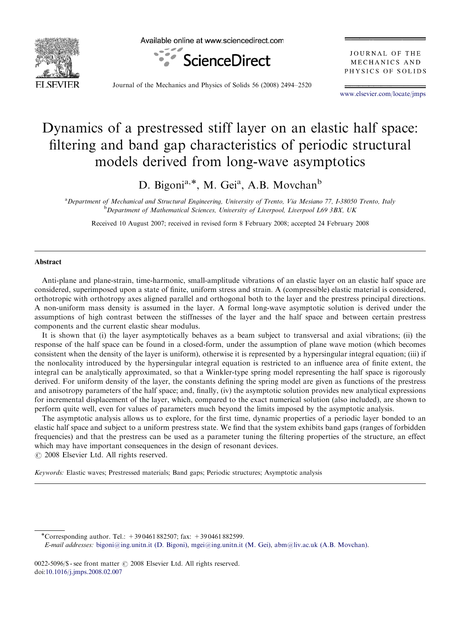

Available online at www.sciencedirect.com



**JOURNAL OF THE** MECHANICS AND PHYSICS OF SOLIDS

Journal of the Mechanics and Physics of Solids 56 (2008) 2494–2520

<www.elsevier.com/locate/jmps>

# Dynamics of a prestressed stiff layer on an elastic half space: filtering and band gap characteristics of periodic structural models derived from long-wave asymptotics

D. Bigoni<sup>a,\*</sup>, M. Gei<sup>a</sup>, A.B. Movchan<sup>b</sup>

a Department of Mechanical and Structural Engineering, University of Trento, Via Mesiano 77, I-38050 Trento, Italy <sup>b</sup>Department of Mathematical Sciences, University of Liverpool, Liverpool L69 3BX, UK

Received 10 August 2007; received in revised form 8 February 2008; accepted 24 February 2008

### Abstract

Anti-plane and plane-strain, time-harmonic, small-amplitude vibrations of an elastic layer on an elastic half space are considered, superimposed upon a state of finite, uniform stress and strain. A (compressible) elastic material is considered, orthotropic with orthotropy axes aligned parallel and orthogonal both to the layer and the prestress principal directions. A non-uniform mass density is assumed in the layer. A formal long-wave asymptotic solution is derived under the assumptions of high contrast between the stiffnesses of the layer and the half space and between certain prestress components and the current elastic shear modulus.

It is shown that (i) the layer asymptotically behaves as a beam subject to transversal and axial vibrations; (ii) the response of the half space can be found in a closed-form, under the assumption of plane wave motion (which becomes consistent when the density of the layer is uniform), otherwise it is represented by a hypersingular integral equation; (iii) if the nonlocality introduced by the hypersingular integral equation is restricted to an influence area of finite extent, the integral can be analytically approximated, so that a Winkler-type spring model representing the half space is rigorously derived. For uniform density of the layer, the constants defining the spring model are given as functions of the prestress and anisotropy parameters of the half space; and, finally, (iv) the asymptotic solution provides new analytical expressions for incremental displacement of the layer, which, compared to the exact numerical solution (also included), are shown to perform quite well, even for values of parameters much beyond the limits imposed by the asymptotic analysis.

The asymptotic analysis allows us to explore, for the first time, dynamic properties of a periodic layer bonded to an elastic half space and subject to a uniform prestress state. We find that the system exhibits band gaps (ranges of forbidden frequencies) and that the prestress can be used as a parameter tuning the filtering properties of the structure, an effect which may have important consequences in the design of resonant devices.

 $O$  2008 Elsevier Ltd. All rights reserved.

Keywords: Elastic waves; Prestressed materials; Band gaps; Periodic structures; Asymptotic analysis

-Corresponding author. Tel.: +39 0461 882507; fax: +39 0461 882599.

0022-5096/\$ - see front matter  $\odot$  2008 Elsevier Ltd. All rights reserved. doi[:10.1016/j.jmps.2008.02.007](dx.doi.org/10.1016/j.jmps.2008.02.007)

E-mail addresses: [bigoni@ing.unitn.it \(D. Bigoni\)](mailto:bigoni@ing.unitn.it), [mgei@ing.unitn.it \(M. Gei\)](mailto:mgei@ing.unitn.it), [abm@liv.ac.uk \(A.B. Movchan\).](mailto:abm@liv.ac.uk)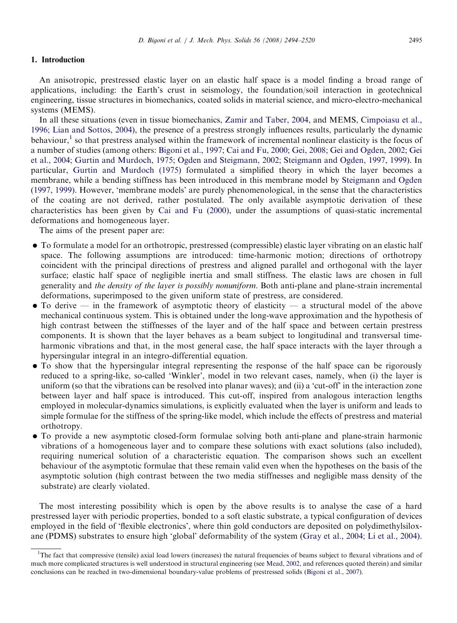# 1. Introduction

An anisotropic, prestressed elastic layer on an elastic half space is a model finding a broad range of applications, including: the Earth's crust in seismology, the foundation/soil interaction in geotechnical engineering, tissue structures in biomechanics, coated solids in material science, and micro-electro-mechanical systems (MEMS).

In all these situations (even in tissue biomechanics, [Zamir and Taber, 2004,](#page-26-0) and MEMS, [Cimpoiasu et al.,](#page-26-0) [1996; Lian and Sottos, 2004](#page-26-0)), the presence of a prestress strongly influences results, particularly the dynamic behaviour,<sup>1</sup> so that prestress analysed within the framework of incremental nonlinear elasticity is the focus of a number of studies (among others: [Bigoni et al., 1997; Cai and Fu, 2000; Gei, 2008; Gei and Ogden, 2002; Gei](#page-26-0) [et al., 2004; Gurtin and Murdoch, 1975; Ogden and Steigmann, 2002; Steigmann and Ogden, 1997, 1999\)](#page-26-0). In particular, [Gurtin and Murdoch \(1975\)](#page-26-0) formulated a simplified theory in which the layer becomes a membrane, while a bending stiffness has been introduced in this membrane model by [Steigmann and Ogden](#page-26-0) [\(1997, 1999\)](#page-26-0). However, 'membrane models' are purely phenomenological, in the sense that the characteristics of the coating are not derived, rather postulated. The only available asymptotic derivation of these characteristics has been given by [Cai and Fu \(2000\)](#page-26-0), under the assumptions of quasi-static incremental deformations and homogeneous layer.

The aims of the present paper are:

- To formulate a model for an orthotropic, prestressed (compressible) elastic layer vibrating on an elastic half space. The following assumptions are introduced: time-harmonic motion; directions of orthotropy coincident with the principal directions of prestress and aligned parallel and orthogonal with the layer surface; elastic half space of negligible inertia and small stiffness. The elastic laws are chosen in full generality and the density of the layer is possibly nonuniform. Both anti-plane and plane-strain incremental deformations, superimposed to the given uniform state of prestress, are considered.
- To derive in the framework of asymptotic theory of elasticity a structural model of the above mechanical continuous system. This is obtained under the long-wave approximation and the hypothesis of high contrast between the stiffnesses of the layer and of the half space and between certain prestress components. It is shown that the layer behaves as a beam subject to longitudinal and transversal timeharmonic vibrations and that, in the most general case, the half space interacts with the layer through a hypersingular integral in an integro-differential equation.
- To show that the hypersingular integral representing the response of the half space can be rigorously reduced to a spring-like, so-called 'Winkler', model in two relevant cases, namely, when (i) the layer is uniform (so that the vibrations can be resolved into planar waves); and (ii) a 'cut-off' in the interaction zone between layer and half space is introduced. This cut-off, inspired from analogous interaction lengths employed in molecular-dynamics simulations, is explicitly evaluated when the layer is uniform and leads to simple formulae for the stiffness of the spring-like model, which include the effects of prestress and material orthotropy.
- To provide a new asymptotic closed-form formulae solving both anti-plane and plane-strain harmonic vibrations of a homogeneous layer and to compare these solutions with exact solutions (also included), requiring numerical solution of a characteristic equation. The comparison shows such an excellent behaviour of the asymptotic formulae that these remain valid even when the hypotheses on the basis of the asymptotic solution (high contrast between the two media stiffnesses and negligible mass density of the substrate) are clearly violated.

The most interesting possibility which is open by the above results is to analyse the case of a hard prestressed layer with periodic properties, bonded to a soft elastic substrate, a typical configuration of devices employed in the field of 'flexible electronics', where thin gold conductors are deposited on polydimethylsiloxane (PDMS) substrates to ensure high 'global' deformability of the system ([Gray et al., 2004; Li et al., 2004](#page-26-0)).

<sup>&</sup>lt;sup>1</sup>The fact that compressive (tensile) axial load lowers (increases) the natural frequencies of beams subject to flexural vibrations and of much more complicated structures is well understood in structural engineering (see [Mead, 2002](#page-26-0), and references quoted therein) and similar conclusions can be reached in two-dimensional boundary-value problems of prestressed solids [\(Bigoni et al., 2007](#page-26-0)).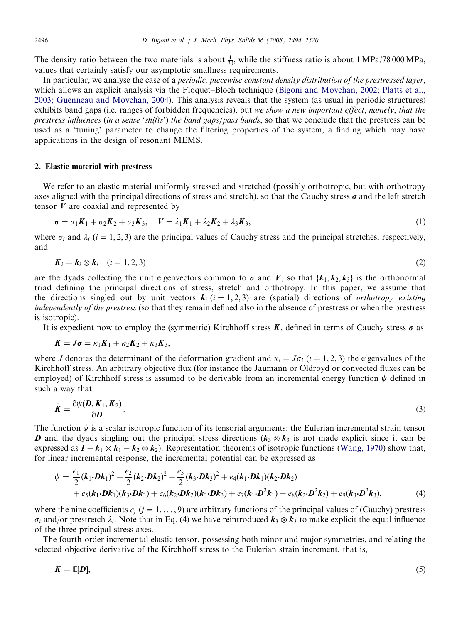The density ratio between the two materials is about  $\frac{1}{20}$ , while the stiffness ratio is about 1 MPa/78 000 MPa, values that certainly satisfy our asymptotic smallness requirements.

In particular, we analyse the case of a *periodic, piecewise constant density distribution of the prestressed layer*, which allows an explicit analysis via the Floquet–Bloch technique [\(Bigoni and Movchan, 2002; Platts et al.,](#page-26-0) [2003; Guenneau and Movchan, 2004\)](#page-26-0). This analysis reveals that the system (as usual in periodic structures) exhibits band gaps (i.e. ranges of forbidden frequencies), but we show a new important effect, namely, that the prestress influences (in a sense 'shifts') the band gaps/pass bands, so that we conclude that the prestress can be used as a 'tuning' parameter to change the filtering properties of the system, a finding which may have applications in the design of resonant MEMS.

## 2. Elastic material with prestress

We refer to an elastic material uniformly stressed and stretched (possibly orthotropic, but with orthotropy axes aligned with the principal directions of stress and stretch), so that the Cauchy stress  $\sigma$  and the left stretch tensor  $V$  are coaxial and represented by

$$
\boldsymbol{\sigma} = \sigma_1 \boldsymbol{K}_1 + \sigma_2 \boldsymbol{K}_2 + \sigma_3 \boldsymbol{K}_3, \quad \boldsymbol{V} = \lambda_1 \boldsymbol{K}_1 + \lambda_2 \boldsymbol{K}_2 + \lambda_3 \boldsymbol{K}_3,\tag{1}
$$

where  $\sigma_i$  and  $\lambda_i$  (*i* = 1, 2, 3) are the principal values of Cauchy stress and the principal stretches, respectively, and

$$
\boldsymbol{K}_i = \boldsymbol{k}_i \otimes \boldsymbol{k}_i \quad (i = 1, 2, 3) \tag{2}
$$

are the dyads collecting the unit eigenvectors common to  $\sigma$  and V, so that  $\{k_1, k_2, k_3\}$  is the orthonormal triad defining the principal directions of stress, stretch and orthotropy. In this paper, we assume that the directions singled out by unit vectors  $k_i$   $(i = 1, 2, 3)$  are (spatial) directions of *orthotropy existing* independently of the prestress (so that they remain defined also in the absence of prestress or when the prestress is isotropic).

It is expedient now to employ the (symmetric) Kirchhoff stress  $K$ , defined in terms of Cauchy stress  $\sigma$  as

$$
\mathbf{K} = \mathbf{J}\boldsymbol{\sigma} = \kappa_1 \mathbf{K}_1 + \kappa_2 \mathbf{K}_2 + \kappa_3 \mathbf{K}_3,
$$

where J denotes the determinant of the deformation gradient and  $\kappa_i = J\sigma_i$  ( $i = 1, 2, 3$ ) the eigenvalues of the Kirchhoff stress. An arbitrary objective flux (for instance the Jaumann or Oldroyd or convected fluxes can be employed) of Kirchhoff stress is assumed to be derivable from an incremental energy function  $\psi$  defined in such a way that

$$
\stackrel{\circ}{K} = \frac{\partial \psi(D, K_1, K_2)}{\partial D}.
$$
 (3)

The function  $\psi$  is a scalar isotropic function of its tensorial arguments: the Eulerian incremental strain tensor **D** and the dyads singling out the principal stress directions  $(k_3 \otimes k_3)$  is not made explicit since it can be expressed as  $I - k_1 \otimes k_1 - k_2 \otimes k_2$ ). Representation theorems of isotropic functions [\(Wang, 1970](#page-26-0)) show that, for linear incremental response, the incremental potential can be expressed as

$$
\psi = \frac{e_1}{2} (k_1 \cdot Dk_1)^2 + \frac{e_2}{2} (k_2 \cdot Dk_2)^2 + \frac{e_3}{2} (k_3 \cdot Dk_3)^2 + e_4 (k_1 \cdot Dk_1) (k_2 \cdot Dk_2) + e_5 (k_1 \cdot Dk_1) (k_3 \cdot Dk_3) + e_6 (k_2 \cdot Dk_2) (k_3 \cdot Dk_3) + e_7 (k_1 \cdot D^2k_1) + e_8 (k_2 \cdot D^2k_2) + e_9 (k_3 \cdot D^2k_3),
$$
\n(4)

where the nine coefficients  $e_i$   $(j = 1, \ldots, 9)$  are arbitrary functions of the principal values of (Cauchy) prestress  $\sigma_i$  and/or prestretch  $\lambda_i$ . Note that in Eq. (4) we have reintroduced  $k_3 \otimes k_3$  to make explicit the equal influence of the three principal stress axes.

The fourth-order incremental elastic tensor, possessing both minor and major symmetries, and relating the selected objective derivative of the Kirchhoff stress to the Eulerian strain increment, that is,

$$
\overset{\circ}{K} = \mathbb{E}[D],\tag{5}
$$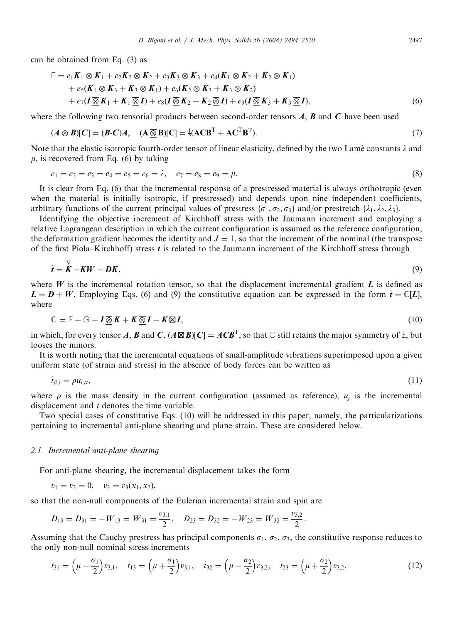can be obtained from Eq. (3) as

 $\overline{r}$ 

$$
\mathbb{E} = e_1 K_1 \otimes K_1 + e_2 K_2 \otimes K_2 + e_3 K_3 \otimes K_3 + e_4 (K_1 \otimes K_2 + K_2 \otimes K_1)
$$
  
+ 
$$
e_5(K_1 \otimes K_3 + K_3 \otimes K_1) + e_6(K_2 \otimes K_3 + K_3 \otimes K_2)
$$
  
+ 
$$
e_7(I \overline{\otimes} K_1 + K_1 \overline{\otimes} I) + e_8(I \overline{\otimes} K_2 + K_2 \overline{\otimes} I) + e_9(I \overline{\otimes} K_3 + K_3 \overline{\otimes} I),
$$
 (6)

where the following two tensorial products between second-order tensors  $\vec{A}$ ,  $\vec{B}$  and  $\vec{C}$  have been used

$$
(A \otimes B)[C] = (B \cdot C)A, \quad (A \underline{\overline{\otimes}} B)[C] = \frac{1}{2}(ACB^{T} + AC^{T}B^{T}).
$$
\n<sup>(7)</sup>

Note that the elastic isotropic fourth-order tensor of linear elasticity, defined by the two Lamé constants  $\lambda$  and  $\mu$ , is recovered from Eq. (6) by taking

$$
e_1 = e_2 = e_3 = e_4 = e_5 = e_6 = \lambda, \quad e_7 = e_8 = e_9 = \mu.
$$
\n(8)

It is clear from Eq. (6) that the incremental response of a prestressed material is always orthotropic (even when the material is initially isotropic, if prestressed) and depends upon nine independent coefficients, arbitrary functions of the current principal values of prestress  $\{\sigma_1, \sigma_2, \sigma_3\}$  and/or prestretch  $\{\lambda_1, \lambda_2, \lambda_3\}$ .

Identifying the objective increment of Kirchhoff stress with the Jaumann increment and employing a relative Lagrangean description in which the current configuration is assumed as the reference configuration, the deformation gradient becomes the identity and  $J = 1$ , so that the increment of the nominal (the transpose of the first Piola–Kirchhoff) stress t is related to the Jaumann increment of the Kirchhoff stress through

$$
\dot{\mathbf{t}} = \dot{\mathbf{K}} - \mathbf{K}W - \mathbf{D}\mathbf{K},\tag{9}
$$

where  $W$  is the incremental rotation tensor, so that the displacement incremental gradient  $L$  is defined as  $L = D + W$ . Employing Eqs. (6) and (9) the constitutive equation can be expressed in the form  $t = \mathbb{C}[L],$ where

$$
\mathbb{C} = \mathbb{E} + \mathbb{G} - I \overline{\otimes} K + K \overline{\otimes} I - K \boxtimes I, \tag{10}
$$

in which, for every tensor A, B and C,  $(A \boxtimes B)|C| = ACB^{T}$ , so that C still retains the major symmetry of E, but looses the minors.

It is worth noting that the incremental equations of small-amplitude vibrations superimposed upon a given uniform state (of strain and stress) in the absence of body forces can be written as

$$
\dot{t}_{ji,j} = \rho u_{i,tt},\tag{11}
$$

where  $\rho$  is the mass density in the current configuration (assumed as reference),  $u_i$  is the incremental displacement and *t* denotes the time variable.

Two special cases of constitutive Eqs. (10) will be addressed in this paper, namely, the particularizations pertaining to incremental anti-plane shearing and plane strain. These are considered below.

#### 2.1. Incremental anti-plane shearing

For anti-plane shearing, the incremental displacement takes the form

$$
v_1 = v_2 = 0, \quad v_3 = v_3(x_1, x_2),
$$

so that the non-null components of the Eulerian incremental strain and spin are

$$
D_{13}=D_{31}=-W_{13}=W_{31}=\frac{v_{3,1}}{2},\quad D_{23}=D_{32}=-W_{23}=W_{32}=\frac{v_{3,2}}{2}.
$$

Assuming that the Cauchy prestress has principal components  $\sigma_1$ ,  $\sigma_2$ ,  $\sigma_3$ , the constitutive response reduces to the only non-null nominal stress increments

$$
\dot{t}_{31} = \left(\mu - \frac{\sigma_1}{2}\right)v_{3,1}, \quad \dot{t}_{13} = \left(\mu + \frac{\sigma_1}{2}\right)v_{3,1}, \quad \dot{t}_{32} = \left(\mu - \frac{\sigma_2}{2}\right)v_{3,2}, \quad \dot{t}_{23} = \left(\mu + \frac{\sigma_2}{2}\right)v_{3,2}, \tag{12}
$$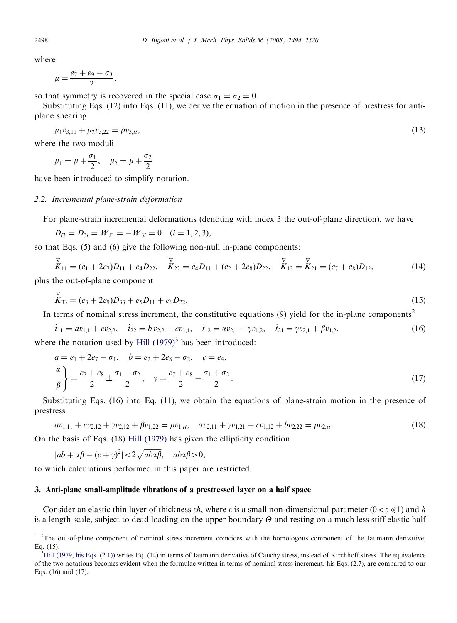where

$$
\mu=\frac{e_7+e_9-\sigma_3}{2},
$$

so that symmetry is recovered in the special case  $\sigma_1 = \sigma_2 = 0$ .

Substituting Eqs. (12) into Eqs. (11), we derive the equation of motion in the presence of prestress for antiplane shearing

$$
\mu_1 v_{3,11} + \mu_2 v_{3,22} = \rho v_{3,tt},\tag{13}
$$

where the two moduli

 $\overline{r}$ 

$$
\mu_1 = \mu + \frac{\sigma_1}{2}, \quad \mu_2 = \mu + \frac{\sigma_2}{2}
$$

have been introduced to simplify notation.

## 2.2. Incremental plane-strain deformation

For plane-strain incremental deformations (denoting with index 3 the out-of-plane direction), we have

 $D_{i3} = D_{3i} = W_{i3} = -W_{3i} = 0$   $(i = 1, 2, 3),$ 

so that Eqs. (5) and (6) give the following non-null in-plane components:

 $K_{11} = (e_1 + 2e_7)D_{11} + e_4D_{22}, \quad K_{22} = e_4D_{11} + (e_2 + 2e_8)D_{22}, \quad K_{12} = K_{21} = (e_7 + e_8)D_{12},$  (14) plus the out-of-plane component

$$
K_{33} = (e_3 + 2e_9)D_{33} + e_5D_{11} + e_6D_{22}.
$$
\n(15)

In terms of nominal stress increment, the constitutive equations (9) yield for the in-plane components<sup>2</sup>

 $\dot{t}_{11} = av_{1,1} + cv_{2,2}, \quad \dot{t}_{22} = bv_{2,2} + cv_{1,1}, \quad \dot{t}_{12} = av_{2,1} + \gamma v_{1,2}, \quad \dot{t}_{21} = \gamma v_{2,1} + \beta v_{1,2},$ (16) where the notation used by Hill  $(1979)^3$  has been introduced:

$$
a = e_1 + 2e_7 - \sigma_1, \quad b = e_2 + 2e_8 - \sigma_2, \quad c = e_4,
$$
  
\n
$$
\begin{pmatrix} \alpha \\ \beta \end{pmatrix} = \frac{e_7 + e_8}{2} \pm \frac{\sigma_1 - \sigma_2}{2}, \quad \gamma = \frac{e_7 + e_8}{2} - \frac{\sigma_1 + \sigma_2}{2}.
$$
 (17)

Substituting Eqs. (16) into Eq. (11), we obtain the equations of plane-strain motion in the presence of prestress

$$
av_{1,11} + cv_{2,12} + \gamma v_{2,12} + \beta v_{1,22} = \rho v_{1,tt}, \quad \alpha v_{2,11} + \gamma v_{1,21} + cv_{1,12} + bv_{2,22} = \rho v_{2,tt}.
$$
\n(18)

On the basis of Eqs. (18) [Hill \(1979\)](#page-26-0) has given the ellipticity condition

$$
|ab + \alpha \beta - (c + \gamma)^2| < 2\sqrt{ab\alpha\beta}, \quad ab\alpha\beta > 0,
$$

to which calculations performed in this paper are restricted.

## 3. Anti-plane small-amplitude vibrations of a prestressed layer on a half space

Consider an elastic thin layer of thickness  $\epsilon h$ , where  $\epsilon$  is a small non-dimensional parameter ( $0 < \epsilon \ll 1$ ) and h is a length scale, subject to dead loading on the upper boundary  $\Theta$  and resting on a much less stiff elastic half

<sup>&</sup>lt;sup>2</sup>The out-of-plane component of nominal stress increment coincides with the homologous component of the Jaumann derivative, Eq.  $(15)$ .

<sup>&</sup>lt;sup>3</sup>[Hill \(1979, his Eqs. \(2.1\)\)](#page-26-0) writes Eq. (14) in terms of Jaumann derivative of Cauchy stress, instead of Kirchhoff stress. The equivalence of the two notations becomes evident when the formulae written in terms of nominal stress increment, his Eqs. (2.7), are compared to our Eqs. (16) and (17).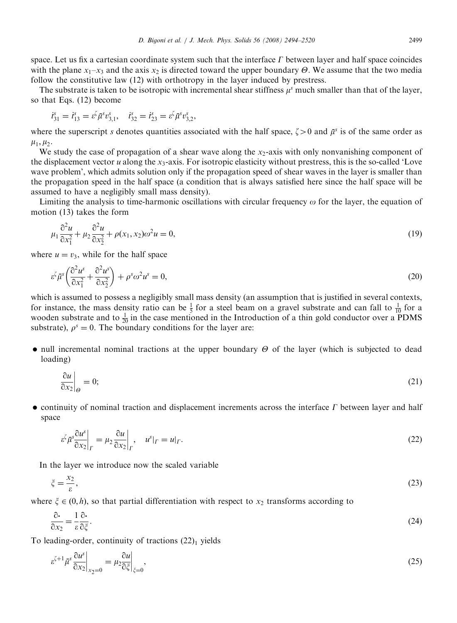space. Let us fix a cartesian coordinate system such that the interface  $\Gamma$  between layer and half space coincides with the plane  $x_1-x_3$  and the axis  $x_2$  is directed toward the upper boundary  $\Theta$ . We assume that the two media follow the constitutive law (12) with orthotropy in the layer induced by prestress.

The substrate is taken to be isotropic with incremental shear stiffness  $\mu^s$  much smaller than that of the layer, so that Eqs. (12) become

$$
\dot{t}_{31}^s = \dot{t}_{13}^s = \varepsilon^{\zeta} \bar{\mu}^s v_{3,1}^s, \quad \dot{t}_{32}^s = \dot{t}_{23}^s = \varepsilon^{\zeta} \bar{\mu}^s v_{3,2}^s,
$$

where the superscript s denotes quantities associated with the half space,  $\zeta > 0$  and  $\bar{\mu}^s$  is of the same order as  $\mu_1, \mu_2.$ 

We study the case of propagation of a shear wave along the  $x_2$ -axis with only nonvanishing component of the displacement vector u along the  $x_3$ -axis. For isotropic elasticity without prestress, this is the so-called 'Love wave problem', which admits solution only if the propagation speed of shear waves in the layer is smaller than the propagation speed in the half space (a condition that is always satisfied here since the half space will be assumed to have a negligibly small mass density).

Limiting the analysis to time-harmonic oscillations with circular frequency  $\omega$  for the layer, the equation of motion (13) takes the form

$$
\mu_1 \frac{\partial^2 u}{\partial x_1^2} + \mu_2 \frac{\partial^2 u}{\partial x_2^2} + \rho(x_1, x_2) \omega^2 u = 0,
$$
\n(19)

where  $u = v_3$ , while for the half space

$$
\varepsilon^{\zeta} \bar{\mu}^s \left( \frac{\partial^2 u^s}{\partial x_1^2} + \frac{\partial^2 u^s}{\partial x_2^2} \right) + \rho^s \omega^2 u^s = 0,
$$
\n(20)

which is assumed to possess a negligibly small mass density (an assumption that is justified in several contexts, for instance, the mass density ratio can be  $\frac{1}{5}$  for a steel beam on a gravel substrate and can fall to  $\frac{1}{10}$  for a wooden substrate and to  $\frac{1}{20}$  in the case mentioned in the Introduction of a thin gold conductor over a PDMS substrate),  $\rho^s = 0$ . The boundary conditions for the layer are:

 $\bullet$  null incremental nominal tractions at the upper boundary  $\Theta$  of the layer (which is subjected to dead loading)

$$
\left. \frac{\partial u}{\partial x_2} \right|_{\Theta} = 0; \tag{21}
$$

 $\bullet$  continuity of nominal traction and displacement increments across the interface  $\Gamma$  between layer and half space

$$
\left. \varepsilon^{\xi} \bar{\mu}^{s} \frac{\partial u^{s}}{\partial x_{2}} \right|_{\Gamma} = \mu_{2} \frac{\partial u}{\partial x_{2}} \bigg|_{\Gamma}, \quad u^{s} \vert_{\Gamma} = u \vert_{\Gamma}. \tag{22}
$$

In the layer we introduce now the scaled variable

$$
\xi = \frac{x_2}{\varepsilon},\tag{23}
$$

where  $\xi \in (0, h)$ , so that partial differentiation with respect to  $x_2$  transforms according to

$$
\frac{\partial}{\partial x_2} = \frac{1}{\varepsilon} \frac{\partial}{\partial \xi}.
$$
\n(24)

To leading-order, continuity of tractions  $(22)_1$  yields

$$
\left. \varepsilon^{\zeta+1} \bar{\mu}^s \frac{\partial u^s}{\partial x_2} \right|_{x_2=0} = \left. \mu_2 \frac{\partial u}{\partial \zeta} \right|_{\zeta=0},\tag{25}
$$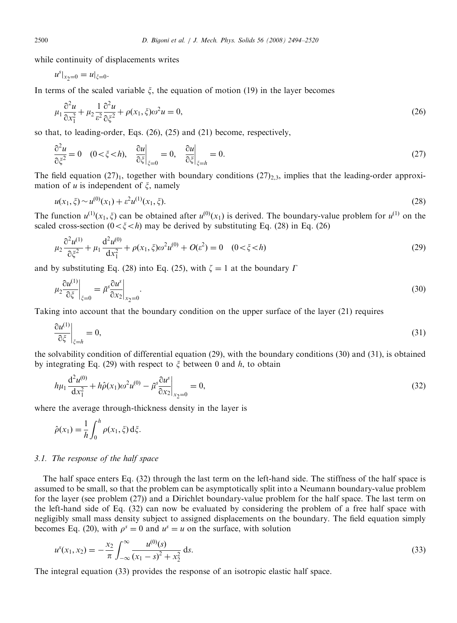while continuity of displacements writes

 $u^{s}|_{x_2=0}=u|_{\xi=0}.$ 

In terms of the scaled variable  $\xi$ , the equation of motion (19) in the layer becomes

$$
\mu_1 \frac{\partial^2 u}{\partial x_1^2} + \mu_2 \frac{1}{\varepsilon^2} \frac{\partial^2 u}{\partial \xi^2} + \rho(x_1, \xi) \omega^2 u = 0,
$$
\n(26)

so that, to leading-order, Eqs. (26), (25) and (21) become, respectively,

$$
\frac{\partial^2 u}{\partial \xi^2} = 0 \quad (0 < \xi < h), \quad \frac{\partial u}{\partial \xi}\Big|_{\xi=0} = 0, \quad \frac{\partial u}{\partial \xi}\Big|_{\xi=h} = 0. \tag{27}
$$

The field equation (27)<sub>1</sub>, together with boundary conditions (27)<sub>2,3</sub>, implies that the leading-order approximation of u is independent of  $\xi$ , namely

$$
u(x_1, \xi) \sim u^{(0)}(x_1) + \varepsilon^2 u^{(1)}(x_1, \xi). \tag{28}
$$

The function  $u^{(1)}(x_1, \xi)$  can be obtained after  $u^{(0)}(x_1)$  is derived. The boundary-value problem for  $u^{(1)}$  on the scaled cross-section  $(0<\xi< h)$  may be derived by substituting Eq. (28) in Eq. (26)

$$
\mu_2 \frac{\partial^2 u^{(1)}}{\partial \xi^2} + \mu_1 \frac{\partial^2 u^{(0)}}{\partial x_1^2} + \rho(x_1, \xi) \omega^2 u^{(0)} + O(\varepsilon^2) = 0 \quad (0 < \xi < h)
$$
\n(29)

and by substituting Eq. (28) into Eq. (25), with  $\zeta = 1$  at the boundary  $\Gamma$ 

$$
\mu_2 \frac{\partial u^{(1)}}{\partial \xi}\Big|_{\xi=0} = \bar{\mu}^s \frac{\partial u^s}{\partial x_2}\Big|_{x_2=0}.
$$
\n(30)

Taking into account that the boundary condition on the upper surface of the layer (21) requires

$$
\left. \frac{\partial u^{(1)}}{\partial \xi} \right|_{\xi=h} = 0,\tag{31}
$$

the solvability condition of differential equation (29), with the boundary conditions (30) and (31), is obtained by integrating Eq. (29) with respect to  $\xi$  between 0 and h, to obtain

$$
h\mu_1 \frac{d^2 u^{(0)}}{dx_1^2} + h\hat{\rho}(x_1)\omega^2 u^{(0)} - \bar{\mu}^s \frac{\partial u^s}{\partial x_2}\bigg|_{x_2=0} = 0,
$$
\n(32)

where the average through-thickness density in the layer is

$$
\hat{\rho}(x_1) = \frac{1}{h} \int_0^h \rho(x_1, \xi) \, d\xi.
$$

#### 3.1. The response of the half space

The half space enters Eq. (32) through the last term on the left-hand side. The stiffness of the half space is assumed to be small, so that the problem can be asymptotically split into a Neumann boundary-value problem for the layer (see problem (27)) and a Dirichlet boundary-value problem for the half space. The last term on the left-hand side of Eq. (32) can now be evaluated by considering the problem of a free half space with negligibly small mass density subject to assigned displacements on the boundary. The field equation simply becomes Eq. (20), with  $\rho^s = 0$  and  $u^s = u$  on the surface, with solution

$$
u^{s}(x_1, x_2) = -\frac{x_2}{\pi} \int_{-\infty}^{\infty} \frac{u^{(0)}(s)}{(x_1 - s)^2 + x_2^2} ds.
$$
\n(33)

The integral equation (33) provides the response of an isotropic elastic half space.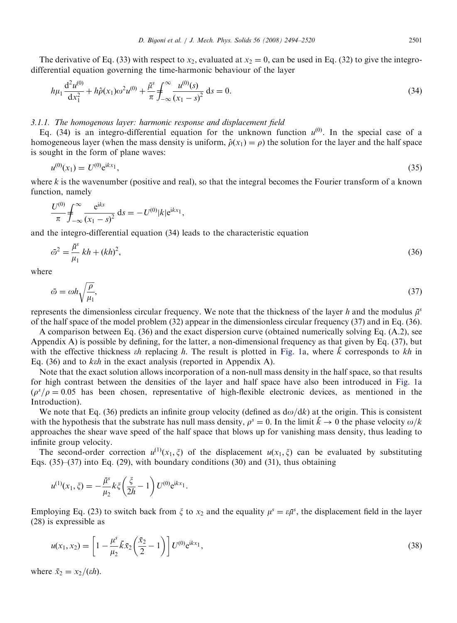The derivative of Eq. (33) with respect to  $x_2$ , evaluated at  $x_2 = 0$ , can be used in Eq. (32) to give the integrodifferential equation governing the time-harmonic behaviour of the layer

$$
h\mu_1 \frac{d^2 u^{(0)}}{dx_1^2} + h\hat{\rho}(x_1)\omega^2 u^{(0)} + \frac{\bar{\mu}^s}{\pi} \frac{f^{\infty}}{f_{-\infty}} \frac{u^{(0)}(s)}{(x_1 - s)^2} ds = 0.
$$
\n(34)

## 3.1.1. The homogenous layer: harmonic response and displacement field

Eq. (34) is an integro-differential equation for the unknown function  $u^{(0)}$ . In the special case of a homogeneous layer (when the mass density is uniform,  $\hat{\rho}(x_1) = \rho$ ) the solution for the layer and the half space is sought in the form of plane waves:

$$
u^{(0)}(x_1) = U^{(0)} e^{ikx_1}, \tag{35}
$$

where  $k$  is the wavenumber (positive and real), so that the integral becomes the Fourier transform of a known function, namely

$$
\frac{U^{(0)}}{\pi} \oint_{-\infty}^{\infty} \frac{e^{iks}}{(x_1 - s)^2} ds = -U^{(0)} |k| e^{ikx_1},
$$

and the integro-differential equation (34) leads to the characteristic equation

$$
\bar{\omega}^2 = \frac{\bar{\mu}^s}{\mu_1} kh + (kh)^2,
$$
\n(36)

where

$$
\bar{\omega} = \omega h \sqrt{\frac{\rho}{\mu_1}},\tag{37}
$$

represents the dimensionless circular frequency. We note that the thickness of the layer h and the modulus  $\bar{\mu}^s$ of the half space of the model problem (32) appear in the dimensionless circular frequency (37) and in Eq. (36).

A comparison between Eq. (36) and the exact dispersion curve (obtained numerically solving Eq. (A.2), see Appendix A) is possible by defining, for the latter, a non-dimensional frequency as that given by Eq. (37), but with the effective thickness  $\epsilon h$  replacing h. The result is plotted in [Fig. 1](#page-8-0)a, where  $\bar{k}$  corresponds to kh in Eq. (36) and to  $k\epsilon h$  in the exact analysis (reported in Appendix A).

Note that the exact solution allows incorporation of a non-null mass density in the half space, so that results for high contrast between the densities of the layer and half space have also been introduced in [Fig. 1](#page-8-0)a  $(\rho^s/\rho = 0.05$  has been chosen, representative of high-flexible electronic devices, as mentioned in the Introduction).

We note that Eq. (36) predicts an infinite group velocity (defined as  $d\omega/dk$ ) at the origin. This is consistent with the hypothesis that the substrate has null mass density,  $\rho^s = 0$ . In the limit  $\bar{k} \to 0$  the phase velocity  $\omega/k$ approaches the shear wave speed of the half space that blows up for vanishing mass density, thus leading to infinite group velocity.

The second-order correction  $u^{(1)}(x_1, \xi)$  of the displacement  $u(x_1, \xi)$  can be evaluated by substituting Eqs. (35)–(37) into Eq. (29), with boundary conditions (30) and (31), thus obtaining

$$
u^{(1)}(x_1,\xi) = -\frac{\bar{\mu}^s}{\mu_2} k\xi \left(\frac{\xi}{2h} - 1\right) U^{(0)} e^{ikx_1}.
$$

Employing Eq. (23) to switch back from  $\xi$  to  $x_2$  and the equality  $\mu^s = \varepsilon \bar{\mu}^s$ , the displacement field in the layer (28) is expressible as

$$
u(x_1, x_2) = \left[1 - \frac{\mu^s}{\mu_2} \bar{k} \bar{x}_2 \left(\frac{\bar{x}_2}{2} - 1\right)\right] U^{(0)} e^{ikx_1}, \tag{38}
$$

where  $\bar{x}_2 = x_2/(\varepsilon h)$ .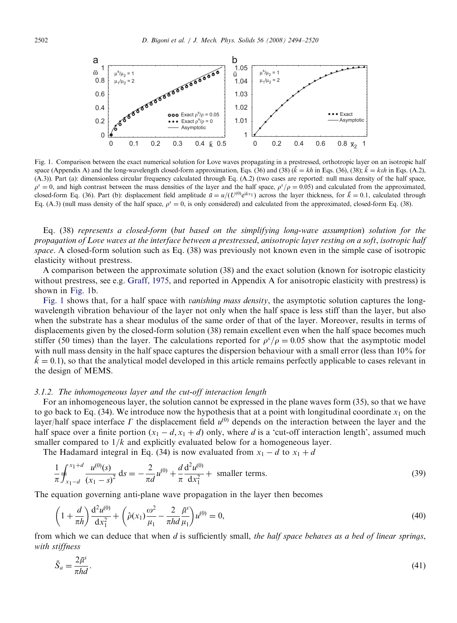<span id="page-8-0"></span>

Fig. 1. Comparison between the exact numerical solution for Love waves propagating in a prestressed, orthotropic layer on an isotropic half space (Appendix A) and the long-wavelength closed-form approximation, Eqs. (36) and (38) ( $\bar{k} = kh$  in Eqs. (36), (38);  $\bar{k} = k\epsilon h$  in Eqs. (A.2), (A.3)). Part (a): dimensionless circular frequency calculated through Eq. (A.2) (two cases are reported: null mass density of the half space,  $\rho^s = 0$ , and high contrast between the mass densities of the layer and the half space,  $\rho^s / \rho = 0.05$ ) and calculated from the approximated, closed-form Eq. (36). Part (b): displacement field amplitude  $\bar{u} = u/(U^{(0)}e^{ikx_1})$  across the layer thickness, for  $\bar{k} = 0.1$ , calculated through Eq. (A.3) (null mass density of the half space,  $\rho^s = 0$ , is only considered) and calculated from the approximated, closed-form Eq. (38).

Eq. (38) represents a closed-form (but based on the simplifying long-wave assumption) solution for the propagation of Love waves at the interface between a prestressed, anisotropic layer resting on a soft, isotropic half space. A closed-form solution such as Eq. (38) was previously not known even in the simple case of isotropic elasticity without prestress.

A comparison between the approximate solution (38) and the exact solution (known for isotropic elasticity without prestress, see e.g. [Graff, 1975](#page-26-0), and reported in Appendix A for anisotropic elasticity with prestress) is shown in Fig. 1b.

Fig. 1 shows that, for a half space with *vanishing mass density*, the asymptotic solution captures the longwavelength vibration behaviour of the layer not only when the half space is less stiff than the layer, but also when the substrate has a shear modulus of the same order of that of the layer. Moreover, results in terms of displacements given by the closed-form solution (38) remain excellent even when the half space becomes much stiffer (50 times) than the layer. The calculations reported for  $\rho^s/\rho = 0.05$  show that the asymptotic model with null mass density in the half space captures the dispersion behaviour with a small error (less than 10% for  $k = 0.1$ , so that the analytical model developed in this article remains perfectly applicable to cases relevant in the design of MEMS.

## 3.1.2. The inhomogeneous layer and the cut-off interaction length

For an inhomogeneous layer, the solution cannot be expressed in the plane waves form (35), so that we have to go back to Eq. (34). We introduce now the hypothesis that at a point with longitudinal coordinate  $x_1$  on the layer/half space interface  $\Gamma$  the displacement field  $u^{(0)}$  depends on the interaction between the layer and the half space over a finite portion  $(x_1 - d, x_1 + d)$  only, where d is a 'cut-off interaction length', assumed much smaller compared to  $1/k$  and explicitly evaluated below for a homogeneous layer.

The Hadamard integral in Eq. (34) is now evaluated from  $x_1 - d$  to  $x_1 + d$ 

$$
\frac{1}{\pi} \oint_{x_1 - d}^{x_1 + d} \frac{u^{(0)}(s)}{(x_1 - s)^2} ds = -\frac{2}{\pi d} u^{(0)} + \frac{d}{\pi} \frac{d^2 u^{(0)}}{dx_1^2} + \text{ smaller terms.}
$$
\n(39)

The equation governing anti-plane wave propagation in the layer then becomes

$$
\left(1 + \frac{d}{\pi h}\right) \frac{d^2 u^{(0)}}{dx_1^2} + \left(\hat{\rho}(x_1)\frac{\omega^2}{\mu_1} - \frac{2}{\pi h d} \frac{\bar{\mu}^s}{\mu_1}\right) u^{(0)} = 0,
$$
\n(40)

from which we can deduce that when  $d$  is sufficiently small, the half space behaves as a bed of linear springs, with stiffness

$$
\bar{S}_a = \frac{2\bar{\mu}^s}{\pi h d}.\tag{41}
$$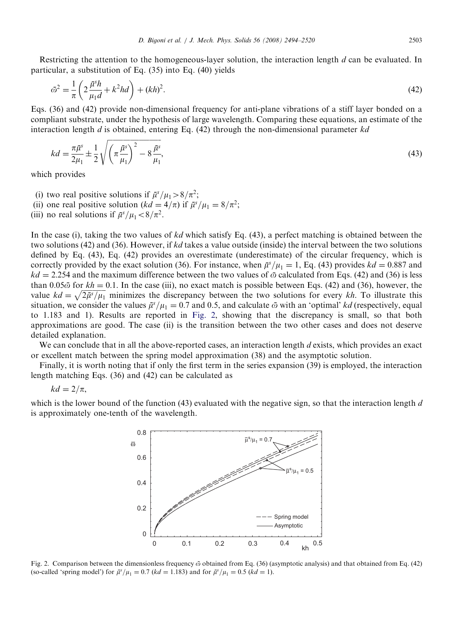Restricting the attention to the homogeneous-layer solution, the interaction length d can be evaluated. In particular, a substitution of Eq. (35) into Eq. (40) yields

$$
\bar{\omega}^2 = \frac{1}{\pi} \left( 2 \frac{\bar{\mu}^s h}{\mu_1 d} + k^2 h d \right) + (kh)^2.
$$
\n(42)

Eqs. (36) and (42) provide non-dimensional frequency for anti-plane vibrations of a stiff layer bonded on a compliant substrate, under the hypothesis of large wavelength. Comparing these equations, an estimate of the interaction length d is obtained, entering Eq.  $(42)$  through the non-dimensional parameter kd

$$
kd = \frac{\pi \bar{\mu}^s}{2\mu_1} \pm \frac{1}{2} \sqrt{\left(\pi \frac{\bar{\mu}^s}{\mu_1}\right)^2 - 8 \frac{\bar{\mu}^s}{\mu_1}},\tag{43}
$$

which provides

- (i) two real positive solutions if  $\bar{\mu}^s/\mu_1 > 8/\pi^2$ ;
- (ii) one real positive solution  $(kd = 4/\pi)$  if  $\bar{\mu}^s / \mu_1 = 8/\pi^2$ ;
- (iii) no real solutions if  $\bar{\mu}^s/\mu_1 < 8/\pi^2$ .

In the case (i), taking the two values of kd which satisfy Eq. (43), a perfect matching is obtained between the two solutions (42) and (36). However, if kd takes a value outside (inside) the interval between the two solutions defined by Eq. (43), Eq. (42) provides an overestimate (underestimate) of the circular frequency, which is correctly provided by the exact solution (36). For instance, when  $\bar{\mu}^s / \mu_1 = 1$ , Eq. (43) provides  $kd = 0.887$  and  $kd = 2.254$  and the maximum difference between the two values of  $\bar{\omega}$  calculated from Eqs. (42) and (36) is less than 0.05 $\bar{\omega}$  for kh = 0.1. In the case (iii), no exact match is possible between Eqs. (42) and (36), however, the value  $kd = \sqrt{2\bar{\mu}^s/\mu_1}$  minimizes the discrepancy between the two solutions for every kh. To illustrate this situation, we consider the values  $\bar{\mu}^s/\mu_1 = 0.7$  and 0.5, and calculate  $\bar{\omega}$  with an 'optimal' kd (respectively, equal to 1.183 and 1). Results are reported in Fig. 2, showing that the discrepancy is small, so that both approximations are good. The case (ii) is the transition between the two other cases and does not deserve detailed explanation.

We can conclude that in all the above-reported cases, an interaction length d exists, which provides an exact or excellent match between the spring model approximation (38) and the asymptotic solution.

Finally, it is worth noting that if only the first term in the series expansion (39) is employed, the interaction length matching Eqs. (36) and (42) can be calculated as

$$
kd=2/\pi,
$$

which is the lower bound of the function (43) evaluated with the negative sign, so that the interaction length  $d$ is approximately one-tenth of the wavelength.



Fig. 2. Comparison between the dimensionless frequency  $\bar{\omega}$  obtained from Eq. (36) (asymptotic analysis) and that obtained from Eq. (42) (so-called 'spring model') for  $\bar{\mu}^s / \mu_1 = 0.7$  (kd = 1.183) and for  $\bar{\mu}^s / \mu_1 = 0.5$  (kd = 1).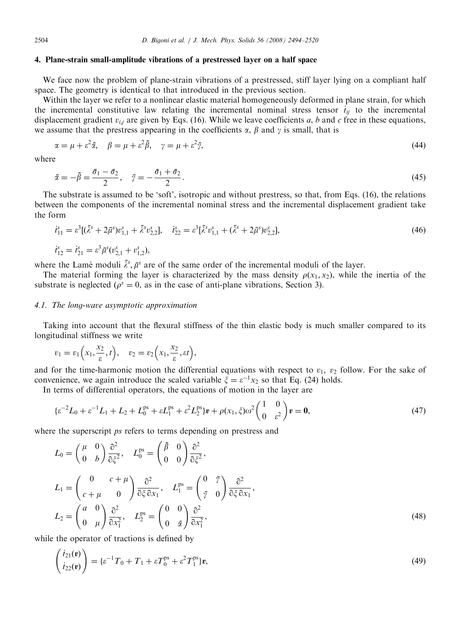## 4. Plane-strain small-amplitude vibrations of a prestressed layer on a half space

We face now the problem of plane-strain vibrations of a prestressed, stiff layer lying on a compliant half space. The geometry is identical to that introduced in the previous section.

Within the layer we refer to a nonlinear elastic material homogeneously deformed in plane strain, for which the incremental constitutive law relating the incremental nominal stress tensor  $i_{ij}$  to the incremental displacement gradient  $v_{ij}$  are given by Eqs. (16). While we leave coefficients a, b and c free in these equations, we assume that the prestress appearing in the coefficients  $\alpha$ ,  $\beta$  and  $\gamma$  is small, that is

$$
\alpha = \mu + \varepsilon^2 \bar{\alpha}, \quad \beta = \mu + \varepsilon^2 \bar{\beta}, \quad \gamma = \mu + \varepsilon^2 \bar{\gamma}, \tag{44}
$$

where

$$
\bar{\alpha} = -\bar{\beta} = \frac{\bar{\sigma}_1 - \bar{\sigma}_2}{2}, \quad \bar{\gamma} = -\frac{\bar{\sigma}_1 + \bar{\sigma}_2}{2}.
$$
\n
$$
(45)
$$

The substrate is assumed to be 'soft', isotropic and without prestress, so that, from Eqs. (16), the relations between the components of the incremental nominal stress and the incremental displacement gradient take the form

$$
\dot{t}_{11}^s = \varepsilon^3 [(\bar{\lambda}^s + 2\bar{\mu}^s) v_{1,1}^s + \bar{\lambda}^s v_{2,2}^s], \quad \dot{t}_{22}^s = \varepsilon^3 [\bar{\lambda}^s v_{1,1}^s + (\bar{\lambda}^s + 2\bar{\mu}^s) v_{2,2}^s],
$$
\n
$$
\dot{t}_{12}^s = \dot{t}_{21}^s = \varepsilon^3 \bar{\mu}^s (v_{2,1}^s + v_{1,2}^s),
$$
\n(46)

where the Lamé moduli  $\bar{\lambda}^s$ ,  $\bar{\mu}^s$  are of the same order of the incremental moduli of the layer.

The material forming the layer is characterized by the mass density  $\rho(x_1, x_2)$ , while the inertia of the substrate is neglected ( $\rho^s = 0$ , as in the case of anti-plane vibrations, Section 3).

## 4.1. The long-wave asymptotic approximation

Taking into account that the flexural stiffness of the thin elastic body is much smaller compared to its longitudinal stiffness we write

$$
v_1 = v_1\left(x_1, \frac{x_2}{\varepsilon}, t\right), \quad v_2 = v_2\left(x_1, \frac{x_2}{\varepsilon}, \varepsilon t\right),
$$

and for the time-harmonic motion the differential equations with respect to  $v_1$ ,  $v_2$  follow. For the sake of convenience, we again introduce the scaled variable  $\xi = \varepsilon^{-1} x_2$  so that Eq. (24) holds.

In terms of differential operators, the equations of motion in the layer are

$$
\{\varepsilon^{-2}L_0 + \varepsilon^{-1}L_1 + L_2 + L_0^{ps} + \varepsilon L_1^{ps} + \varepsilon^2 L_2^{ps}\}\mathbf{v} + \rho(x_1, \xi)\omega^2 \begin{pmatrix} 1 & 0\\ 0 & \varepsilon^2 \end{pmatrix} \mathbf{v} = \mathbf{0},\tag{47}
$$

where the superscript *ps* refers to terms depending on prestress and

$$
L_0 = \begin{pmatrix} \mu & 0 \\ 0 & b \end{pmatrix} \frac{\partial^2}{\partial \xi^2}, \quad L_0^{ps} = \begin{pmatrix} \bar{\beta} & 0 \\ 0 & 0 \end{pmatrix} \frac{\partial^2}{\partial \xi^2},
$$
  
\n
$$
L_1 = \begin{pmatrix} 0 & c + \mu \\ c + \mu & 0 \end{pmatrix} \frac{\partial^2}{\partial \xi \partial x_1}, \quad L_1^{ps} = \begin{pmatrix} 0 & \bar{\gamma} \\ \bar{\gamma} & 0 \end{pmatrix} \frac{\partial^2}{\partial \xi \partial x_1},
$$
  
\n
$$
L_2 = \begin{pmatrix} a & 0 \\ 0 & \mu \end{pmatrix} \frac{\partial^2}{\partial x_1^2}, \quad L_2^{ps} = \begin{pmatrix} 0 & 0 \\ 0 & \bar{\alpha} \end{pmatrix} \frac{\partial^2}{\partial x_1^2},
$$
  
\n(48)

while the operator of tractions is defined by

$$
\begin{pmatrix} i_{21}(v) \\ i_{22}(v) \end{pmatrix} = \{ \varepsilon^{-1} T_0 + T_1 + \varepsilon T_0^{ps} + \varepsilon^2 T_1^{ps} \} v,
$$
\n(49)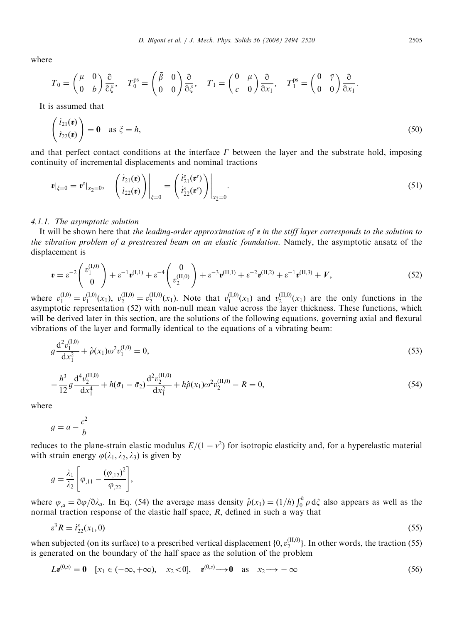where

$$
T_0 = \begin{pmatrix} \mu & 0 \\ 0 & b \end{pmatrix} \frac{\partial}{\partial \xi}, \quad T_0^{ps} = \begin{pmatrix} \bar{\beta} & 0 \\ 0 & 0 \end{pmatrix} \frac{\partial}{\partial \xi}, \quad T_1 = \begin{pmatrix} 0 & \mu \\ c & 0 \end{pmatrix} \frac{\partial}{\partial x_1}, \quad T_1^{ps} = \begin{pmatrix} 0 & \bar{\gamma} \\ 0 & 0 \end{pmatrix} \frac{\partial}{\partial x_1}.
$$

It is assumed that

$$
\begin{pmatrix} i_{21}(\mathbf{v}) \\ i_{22}(\mathbf{v}) \end{pmatrix} = \mathbf{0} \quad \text{as } \xi = h,
$$
\n(50)

and that perfect contact conditions at the interface  $\Gamma$  between the layer and the substrate hold, imposing continuity of incremental displacements and nominal tractions

$$
\mathbf{v}|_{\zeta=0} = \mathbf{v}^{s}|_{x_2=0}, \quad \begin{pmatrix} i_{21}(\mathbf{v}) \\ i_{22}(\mathbf{v}) \end{pmatrix}\bigg|_{\zeta=0} = \begin{pmatrix} i_{21}^{s}(\mathbf{v}^{s}) \\ i_{22}^{s}(\mathbf{v}^{s}) \end{pmatrix}\bigg|_{x_2=0}.
$$
\n(51)

## 4.1.1. The asymptotic solution

It will be shown here that the leading-order approximation of  $v$  in the stiff layer corresponds to the solution to the vibration problem of a prestressed beam on an elastic foundation. Namely, the asymptotic ansatz of the displacement is

$$
\mathbf{v} = \varepsilon^{-2} \begin{pmatrix} v_1^{(I,0)} \\ 0 \end{pmatrix} + \varepsilon^{-1} \mathbf{v}^{(I,1)} + \varepsilon^{-4} \begin{pmatrix} 0 \\ v_2^{(II,0)} \end{pmatrix} + \varepsilon^{-3} \mathbf{v}^{(II,1)} + \varepsilon^{-2} \mathbf{v}^{(II,2)} + \varepsilon^{-1} \mathbf{v}^{(II,3)} + \mathbf{V}, \tag{52}
$$

where  $v_1^{(I,0)} = v_1^{(I,0)}(x_1)$ ,  $v_2^{(II,0)} = v_2^{(II,0)}(x_1)$ . Note that  $v_1^{(I,0)}(x_1)$  and  $v_2^{(II,0)}(x_1)$  are the only functions in the asymptotic representation (52) with non-null mean value across the layer thickness. These functions, which will be derived later in this section, are the solutions of the following equations, governing axial and flexural vibrations of the layer and formally identical to the equations of a vibrating beam:

$$
g\frac{\mathrm{d}^2 v_1^{(I,0)}}{\mathrm{d}x_1^2} + \hat{\rho}(x_1)\omega^2 v_1^{(I,0)} = 0,\tag{53}
$$

$$
-\frac{h^3}{12}g\frac{d^4v_2^{(II,0)}}{dx_1^4} + h(\bar{\sigma}_1 - \bar{\sigma}_2)\frac{d^2v_2^{(II,0)}}{dx_1^2} + h\hat{\rho}(x_1)\omega^2v_2^{(II,0)} - R = 0,
$$
\n(54)

where

$$
g = a - \frac{c^2}{b}
$$

reduces to the plane-strain elastic modulus  $E/(1 - v^2)$  for isotropic elasticity and, for a hyperelastic material with strain energy  $\varphi(\lambda_1, \lambda_2, \lambda_3)$  is given by

$$
g = \frac{\lambda_1}{\lambda_2} \left[ \varphi_{,11} - \frac{(\varphi_{,12})^2}{\varphi_{,22}} \right],
$$

where  $\varphi_{a} = \partial \varphi / \partial \lambda_{a}$ . In Eq. (54) the average mass density  $\hat{\rho}(x_1) = (1/h) \int_0^h \rho \, d\zeta$  also appears as well as the normal traction response of the elastic half space,  $R$ , defined in such a way that

$$
\varepsilon^3 R = \dot{t}_{22}^s(x_1, 0) \tag{55}
$$

when subjected (on its surface) to a prescribed vertical displacement  $\{0, v_2^{(\rm II,0)}\}$ . In other words, the traction (55) is generated on the boundary of the half space as the solution of the problem

$$
Lv^{(0,s)} = \mathbf{0} \quad [x_1 \in (-\infty, +\infty), \quad x_2 < 0], \quad v^{(0,s)} \longrightarrow \mathbf{0} \quad \text{as} \quad x_2 \longrightarrow -\infty \tag{56}
$$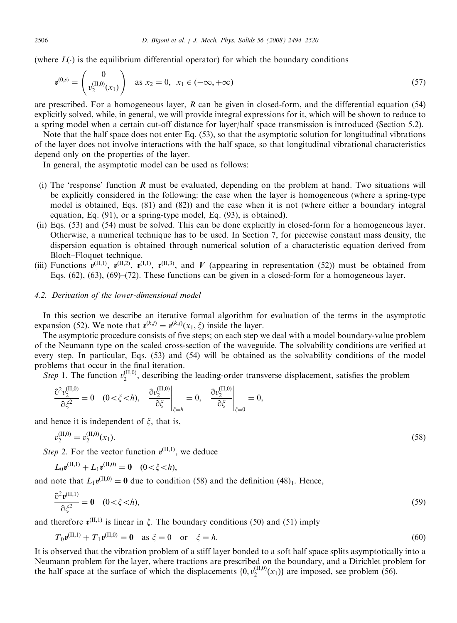(where  $L(\cdot)$  is the equilibrium differential operator) for which the boundary conditions

$$
\mathbf{v}^{(0,s)} = \begin{pmatrix} 0 \\ v_2^{(\text{II},0)}(x_1) \end{pmatrix} \text{ as } x_2 = 0, \ x_1 \in (-\infty, +\infty)
$$
 (57)

are prescribed. For a homogeneous layer, R can be given in closed-form, and the differential equation  $(54)$ explicitly solved, while, in general, we will provide integral expressions for it, which will be shown to reduce to a spring model when a certain cut-off distance for layer/half space transmission is introduced (Section 5.2).

Note that the half space does not enter Eq. (53), so that the asymptotic solution for longitudinal vibrations of the layer does not involve interactions with the half space, so that longitudinal vibrational characteristics depend only on the properties of the layer.

In general, the asymptotic model can be used as follows:

- (i) The 'response' function R must be evaluated, depending on the problem at hand. Two situations will be explicitly considered in the following: the case when the layer is homogeneous (where a spring-type model is obtained, Eqs. (81) and (82)) and the case when it is not (where either a boundary integral equation, Eq. (91), or a spring-type model, Eq. (93), is obtained).
- (ii) Eqs. (53) and (54) must be solved. This can be done explicitly in closed-form for a homogeneous layer. Otherwise, a numerical technique has to be used. In Section 7, for piecewise constant mass density, the dispersion equation is obtained through numerical solution of a characteristic equation derived from Bloch–Floquet technique.
- (iii) Functions  $v^{(II,1)}$ ,  $v^{(II,2)}$ ,  $v^{(II,1)}$ ,  $v^{(II,3)}$ , and V (appearing in representation (52)) must be obtained from Eqs.  $(62)$ ,  $(63)$ ,  $(69)$ – $(72)$ . These functions can be given in a closed-form for a homogeneous layer.

## 4.2. Derivation of the lower-dimensional model

In this section we describe an iterative formal algorithm for evaluation of the terms in the asymptotic expansion (52). We note that  $v^{(k,j)} = v^{(k,j)}(x_1, \xi)$  inside the layer.

The asymptotic procedure consists of five steps; on each step we deal with a model boundary-value problem of the Neumann type on the scaled cross-section of the waveguide. The solvability conditions are verified at every step. In particular, Eqs. (53) and (54) will be obtained as the solvability conditions of the model problems that occur in the final iteration.

Step 1. The function  $v_2^{(II,0)}$ , describing the leading-order transverse displacement, satisfies the problem

$$
\left.\frac{\partial^2 v_2^{(\text{II},0)}}{\partial \xi^2} = 0 \quad (0 < \xi < h), \quad \left.\frac{\partial v_2^{(\text{II},0)}}{\partial \xi}\right|_{\xi=h} = 0, \quad \left.\frac{\partial v_2^{(\text{II},0)}}{\partial \xi}\right|_{\xi=0} = 0,
$$

and hence it is independent of  $\xi$ , that is,

$$
v_2^{(\text{II},0)} = v_2^{(\text{II},0)}(x_1). \tag{58}
$$

Step 2. For the vector function  $v^{\text{(II,1)}},$  we deduce

$$
L_0 \mathbf{v}^{(\text{II},1)} + L_1 \mathbf{v}^{(\text{II},0)} = \mathbf{0} \quad (0 < \xi < h),
$$

and note that  $L_1 v^{(\text{II},0)} = 0$  due to condition (58) and the definition (48)<sub>1</sub>. Hence,

$$
\frac{\partial^2 \mathbf{v}^{(\mathrm{II},1)}}{\partial \zeta^2} = \mathbf{0} \quad (0 < \zeta < h), \tag{59}
$$

and therefore  $v^{(II,1)}$  is linear in  $\xi$ . The boundary conditions (50) and (51) imply

$$
T_0 \mathbf{v}^{(\text{II},1)} + T_1 \mathbf{v}^{(\text{II},0)} = \mathbf{0} \quad \text{as } \xi = 0 \quad \text{or} \quad \xi = h. \tag{60}
$$

It is observed that the vibration problem of a stiff layer bonded to a soft half space splits asymptotically into a Neumann problem for the layer, where tractions are prescribed on the boundary, and a Dirichlet problem for the half space at the surface of which the displacements  $\{0, v_2^{(II,0)}(x_1)\}$  are imposed, see problem (56).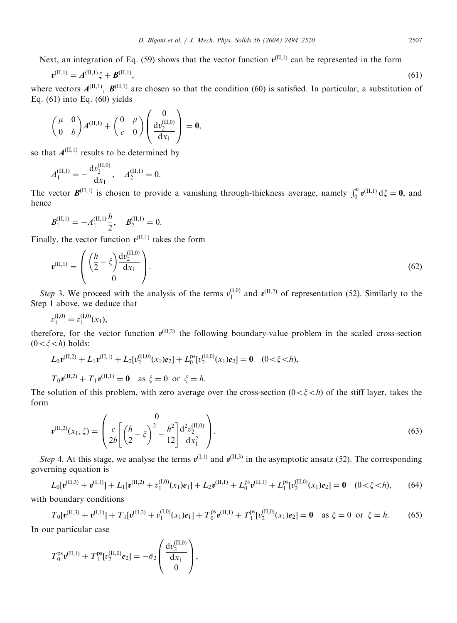Next, an integration of Eq. (59) shows that the vector function  $v^{(II,1)}$  can be represented in the form

$$
v^{(\text{II},1)} = A^{(\text{II},1)}\zeta + B^{(\text{II},1)},\tag{61}
$$

where vectors  $A^{(II,1)}$ ,  $B^{(II,1)}$  are chosen so that the condition (60) is satisfied. In particular, a substitution of Eq.  $(61)$  into Eq.  $(60)$  yields

$$
\begin{pmatrix} \mu & 0 \\ 0 & b \end{pmatrix} A^{(\text{II},1)} + \begin{pmatrix} 0 & \mu \\ c & 0 \end{pmatrix} \begin{pmatrix} 0 \\ \frac{d v_2^{(\text{II},0)}}{dx_1} \end{pmatrix} = \mathbf{0},
$$

so that  $A^{(II,1)}$  results to be determined by

$$
A_1^{(II,1)} = -\frac{dv_2^{(II,0)}}{dx_1}, \quad A_2^{(II,1)} = 0.
$$

The vector  $\mathbf{B}^{(II,1)}$  is chosen to provide a vanishing through-thickness average, namely  $\int_0^h v^{(II,1)} d\xi = 0$ , and hence

$$
B_1^{(II,1)} = -A_1^{(II,1)}\frac{h}{2}, \quad B_2^{(II,1)} = 0.
$$

Finally, the vector function  $v^{(II,1)}$  takes the form

$$
\mathbf{v}^{(\text{II},1)} = \begin{pmatrix} \left(\frac{h}{2} - \xi\right) \frac{\mathrm{d}v_2^{(\text{II},0)}}{\mathrm{d}x_1} \\ 0 \end{pmatrix} . \tag{62}
$$

Step 3. We proceed with the analysis of the terms  $v_1^{(I,0)}$  and  $v^{(II,2)}$  of representation (52). Similarly to the Step 1 above, we deduce that

$$
v_1^{(I,0)} = v_1^{(I,0)}(x_1),
$$

therefore, for the vector function  $v^{(II,2)}$  the following boundary-value problem in the scaled cross-section  $(0<\xi< h)$  holds:

$$
L_0 \mathbf{v}^{(\text{II},2)} + L_1 \mathbf{v}^{(\text{II},1)} + L_2[v_2^{(\text{II},0)}(x_1)e_2] + L_0^{\text{ps}}[v_2^{(\text{II},0)}(x_1)e_2] = \mathbf{0} \quad (0 < \xi < h),
$$

 $T_0 \mathbf{v}^{(II,2)} + T_1 \mathbf{v}^{(II,1)} = \mathbf{0}$  as  $\xi = 0$  or  $\xi = h$ .

The solution of this problem, with zero average over the cross-section  $(0<\xi< h)$  of the stiff layer, takes the form

$$
\mathbf{v}^{(\text{II},2)}(x_1,\xi) = \left(\frac{c}{2b} \left[ \left(\frac{h}{2} - \xi\right)^2 - \frac{h^2}{12} \right] \frac{\mathrm{d}^2 v_2^{(\text{II},0)}}{\mathrm{d} x_1^2} \right). \tag{63}
$$

Step 4. At this stage, we analyse the terms  $v^{(I,1)}$  and  $v^{(II,3)}$  in the asymptotic ansatz (52). The corresponding governing equation is

$$
L_0[v^{(II,3)} + v^{(I,1)}] + L_1[v^{(II,2)} + v_1^{(I,0)}(x_1)e_1] + L_2v^{(II,1)} + L_0^{ps}v^{(II,1)} + L_1^{ps}[v_2^{(II,0)}(x_1)e_2] = \mathbf{0} \quad (0 < \xi < h),
$$
 (64)

with boundary conditions

$$
T_0[\mathbf{v}^{(\text{II},3)} + \mathbf{v}^{(\text{I},1)}] + T_1[\mathbf{v}^{(\text{II},2)} + v_1^{(\text{I},0)}(x_1)e_1] + T_0^{\text{ps}}\mathbf{v}^{(\text{II},1)} + T_1^{\text{ps}}[v_2^{(\text{II},0)}(x_1)e_2] = \mathbf{0} \text{ as } \xi = 0 \text{ or } \xi = h. \tag{65}
$$

In our particular case

$$
T_0^{\text{ps}} \mathbf{v}^{(\text{II},1)} + T_1^{\text{ps}} [v_2^{(\text{II},0)} e_2] = -\bar{\sigma}_2 \begin{pmatrix} \frac{\mathrm{d}v_2^{(\text{II},0)}}{\mathrm{d}x_1} \\ 0 \end{pmatrix},
$$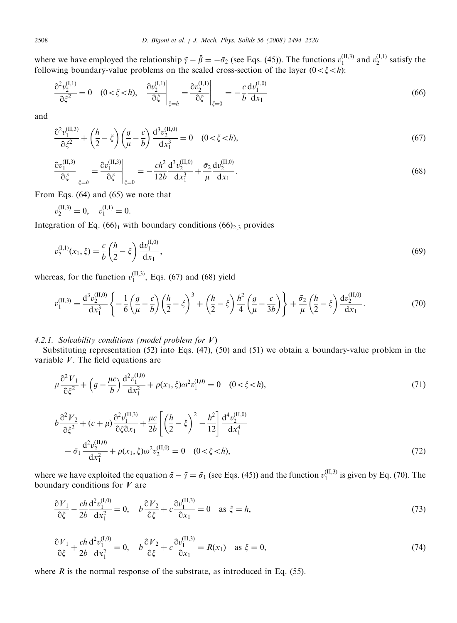where we have employed the relationship  $\bar{\gamma} - \bar{\beta} = -\bar{\sigma}_2$  (see Eqs. (45)). The functions  $v_1^{(II,3)}$  and  $v_2^{(I,1)}$  satisfy the following boundary-value problems on the scaled cross-section of the layer  $(0 < \xi < h)$ :

$$
\frac{\partial^2 v_2^{(I,1)}}{\partial \xi^2} = 0 \quad (0 < \xi < h), \quad \frac{\partial v_2^{(I,1)}}{\partial \xi} \bigg|_{\xi = h} = \frac{\partial v_2^{(I,1)}}{\partial \xi} \bigg|_{\xi = 0} = -\frac{c}{b} \frac{dv_1^{(I,0)}}{dx_1} \tag{66}
$$

and

$$
\frac{\partial^2 v_1^{(\text{II},3)}}{\partial \xi^2} + \left(\frac{h}{2} - \xi\right) \left(\frac{g}{\mu} - \frac{c}{b}\right) \frac{\partial^3 v_2^{(\text{II},0)}}{\partial x_1^3} = 0 \quad (0 < \xi < h),\tag{67}
$$

$$
\left. \frac{\partial v_1^{(\text{II},3)}}{\partial \xi} \right|_{\xi=h} = \left. \frac{\partial v_1^{(\text{II},3)}}{\partial \xi} \right|_{\xi=0} = -\frac{ch^2}{12b} \frac{\mathrm{d}^3 v_2^{(\text{II},0)}}{\mathrm{d} x_1^3} + \frac{\bar{\sigma}_2}{\mu} \frac{\mathrm{d} v_2^{(\text{II},0)}}{\mathrm{d} x_1}.
$$
\n(68)

From Eqs. (64) and (65) we note that

 $v_2^{(II,3)} = 0, \quad v_1^{(I,1)} = 0.$ 

Integration of Eq.  $(66)_1$  with boundary conditions  $(66)_{2,3}$  provides

$$
v_2^{(I,1)}(x_1,\xi) = \frac{c}{b} \left(\frac{h}{2} - \xi\right) \frac{\mathrm{d}v_1^{(I,0)}}{\mathrm{d}x_1},\tag{69}
$$

whereas, for the function  $v_1^{\text{(II,3)}}$ , Eqs. (67) and (68) yield

$$
v_1^{(II,3)} = \frac{d^3 v_2^{(II,0)}}{dx_1^3} \left\{ -\frac{1}{6} \left( \frac{g}{\mu} - \frac{c}{b} \right) \left( \frac{h}{2} - \xi \right)^3 + \left( \frac{h}{2} - \xi \right) \frac{h^2}{4} \left( \frac{g}{\mu} - \frac{c}{3b} \right) \right\} + \frac{\bar{\sigma}_2}{\mu} \left( \frac{h}{2} - \xi \right) \frac{dv_2^{(II,0)}}{dx_1}.
$$
(70)

## 4.2.1. Solvability conditions (model problem for  $V$ )

Substituting representation (52) into Eqs. (47), (50) and (51) we obtain a boundary-value problem in the variable  $V$ . The field equations are

$$
\mu \frac{\partial^2 V_1}{\partial \xi^2} + \left( g - \frac{\mu c}{b} \right) \frac{d^2 v_1^{(I,0)}}{dx_1^2} + \rho(x_1, \xi) \omega^2 v_1^{(I,0)} = 0 \quad (0 < \xi < h),\tag{71}
$$

$$
b\frac{\partial^2 V_2}{\partial \xi^2} + (c+\mu)\frac{\partial^2 v_1^{(II,3)}}{\partial \xi \partial x_1} + \frac{\mu c}{2b} \left[ \left( \frac{h}{2} - \xi \right)^2 - \frac{h^2}{12} \right] \frac{d^4 v_2^{(II,0)}}{dx_1^4} + \bar{\sigma}_1 \frac{d^2 v_2^{(II,0)}}{dx_1^2} + \rho(x_1, \xi)\omega^2 v_2^{(II,0)} = 0 \quad (0 < \xi < h),
$$
\n(72)

where we have exploited the equation  $\bar{\alpha} - \bar{\gamma} = \bar{\sigma}_1$  (see Eqs. (45)) and the function  $v_1^{\text{(II,3)}}$  is given by Eq. (70). The boundary conditions for  $V$  are

$$
\frac{\partial V_1}{\partial \xi} - \frac{ch}{2b} \frac{d^2 v_1^{(I,0)}}{dx_1^2} = 0, \quad b \frac{\partial V_2}{\partial \xi} + c \frac{\partial v_1^{(II,3)}}{\partial x_1} = 0 \quad \text{as } \xi = h,
$$
\n
$$
(73)
$$

$$
\frac{\partial V_1}{\partial \xi} + \frac{ch}{2b} \frac{d^2 v_1^{(1,0)}}{dx_1^2} = 0, \quad b \frac{\partial V_2}{\partial \xi} + c \frac{\partial v_1^{(II,3)}}{\partial x_1} = R(x_1) \quad \text{as } \xi = 0,
$$
\n
$$
(74)
$$

where  $R$  is the normal response of the substrate, as introduced in Eq. (55).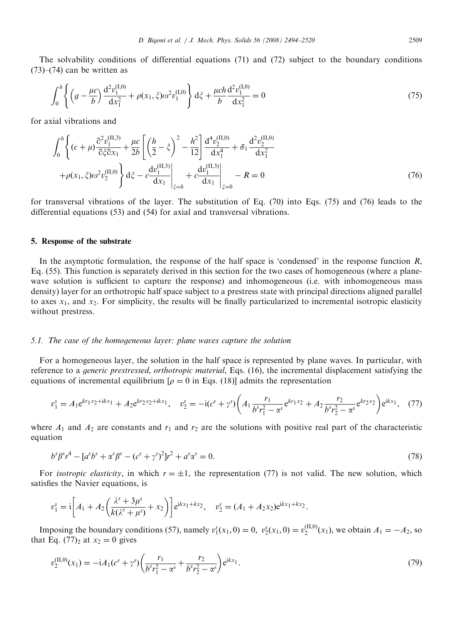The solvability conditions of differential equations (71) and (72) subject to the boundary conditions  $(73)$ – $(74)$  can be written as

$$
\int_0^h \left\{ \left( g - \frac{\mu c}{b} \right) \frac{d^2 v_1^{(1,0)}}{dx_1^2} + \rho(x_1, \xi) \omega^2 v_1^{(1,0)} \right\} d\xi + \frac{\mu ch}{b} \frac{d^2 v_1^{(1,0)}}{dx_1^2} = 0 \tag{75}
$$

for axial vibrations and

$$
\int_0^h \left\{ (c+\mu) \frac{\partial^2 v_1^{(\text{II},3)}}{\partial \xi \partial x_1} + \frac{\mu c}{2b} \left[ \left( \frac{h}{2} - \xi \right)^2 - \frac{h^2}{12} \right] \frac{\partial^4 v_2^{(\text{II},0)}}{\partial x_1^4} + \bar{\sigma}_1 \frac{\partial^2 v_2^{(\text{II},0)}}{\partial x_1^2} + \rho(x_1, \xi) \omega^2 v_2^{(\text{II},0)} \right\} d\xi - c \frac{\partial v_1^{(\text{II},3)}}{\partial x_1} \bigg|_{\xi=h} + c \frac{\partial v_1^{(\text{II},3)}}{\partial x_1} \bigg|_{\xi=0} - R = 0 \tag{76}
$$

for transversal vibrations of the layer. The substitution of Eq. (70) into Eqs. (75) and (76) leads to the differential equations (53) and (54) for axial and transversal vibrations.

#### 5. Response of the substrate

In the asymptotic formulation, the response of the half space is 'condensed' in the response function  $R$ , Eq. (55). This function is separately derived in this section for the two cases of homogeneous (where a planewave solution is sufficient to capture the response) and inhomogeneous (i.e. with inhomogeneous mass density) layer for an orthotropic half space subject to a prestress state with principal directions aligned parallel to axes  $x_1$ , and  $x_2$ . For simplicity, the results will be finally particularized to incremental isotropic elasticity without prestress.

## 5.1. The case of the homogeneous layer: plane waves capture the solution

For a homogeneous layer, the solution in the half space is represented by plane waves. In particular, with reference to a generic prestressed, orthotropic material, Eqs. (16), the incremental displacement satisfying the equations of incremental equilibrium  $\lbrack \rho = 0$  in Eqs. (18)] admits the representation

$$
v_1^s = A_1 e^{kr_1 x_2 + ikx_1} + A_2 e^{kr_2 x_2 + ikx_1}, \quad v_2^s = -i(c^s + \gamma^s) \left( A_1 \frac{r_1}{b^s r_1^2 - \alpha^s} e^{kr_1 x_2} + A_2 \frac{r_2}{b^s r_2^2 - \alpha^s} e^{kr_2 x_2} \right) e^{ikx_1}, \quad (77)
$$

where  $A_1$  and  $A_2$  are constants and  $r_1$  and  $r_2$  are the solutions with positive real part of the characteristic equation

$$
b^{s}\beta^{s}r^{4} - [a^{s}b^{s} + \alpha^{s}\beta^{s} - (c^{s} + \gamma^{s})^{2}]r^{2} + a^{s}\alpha^{s} = 0.
$$
\n(78)

For *isotropic elasticity*, in which  $r = \pm 1$ , the representation (77) is not valid. The new solution, which satisfies the Navier equations, is

$$
v_1^s = \mathbf{i} \left[ A_1 + A_2 \left( \frac{\lambda^s + 3\mu^s}{k(\lambda^s + \mu^s)} + x_2 \right) \right] e^{ikx_1 + kx_2}, \quad v_2^s = (A_1 + A_2 x_2) e^{ikx_1 + kx_2}.
$$

Imposing the boundary conditions (57), namely  $v_1^s(x_1, 0) = 0$ ,  $v_2^s(x_1, 0) = v_2^{\text{(II,0)}}(x_1)$ , we obtain  $A_1 = -A_2$ , so that Eq. (77)<sub>2</sub> at  $x_2 = 0$  gives

$$
v_2^{(II,0)}(x_1) = -iA_1(c^s + \gamma^s) \left( \frac{r_1}{b^s r_1^2 - \alpha^s} + \frac{r_2}{b^s r_2^2 - \alpha^s} \right) e^{ikx_1}.
$$
\n(79)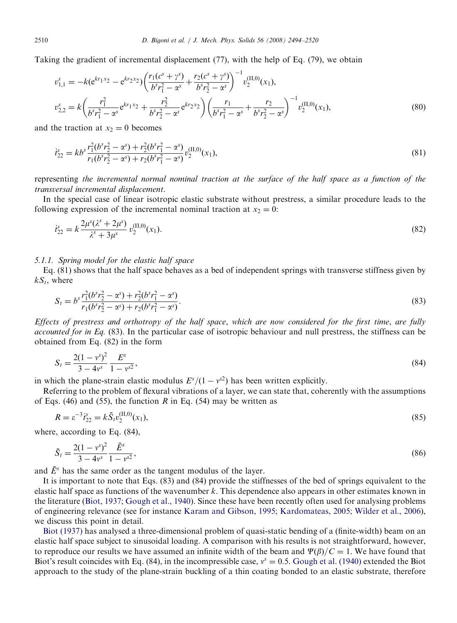Taking the gradient of incremental displacement (77), with the help of Eq. (79), we obtain

$$
v_{1,1}^{s} = -k(e^{kr_{1}x_{2}} - e^{kr_{2}x_{2}}) \left( \frac{r_{1}(c^{s} + \gamma^{s})}{b^{s}r_{1}^{2} - \alpha^{s}} + \frac{r_{2}(c^{s} + \gamma^{s})}{b^{s}r_{2}^{2} - \alpha^{s}} \right)^{-1} v_{2}^{(\text{II},0)}(x_{1}),
$$
  
\n
$$
v_{2,2}^{s} = k \left( \frac{r_{1}^{2}}{b^{s}r_{1}^{2} - \alpha^{s}} e^{kr_{1}x_{2}} + \frac{r_{2}^{2}}{b^{s}r_{2}^{2} - \alpha^{s}} e^{kr_{2}x_{2}} \right) \left( \frac{r_{1}}{b^{s}r_{1}^{2} - \alpha^{s}} + \frac{r_{2}}{b^{s}r_{2}^{2} - \alpha^{s}} \right)^{-1} v_{2}^{(\text{II},0)}(x_{1}),
$$
\n(80)

and the traction at  $x_2 = 0$  becomes

$$
\dot{t}_{22}^s = kb^s \frac{r_1^2 (b^s r_2^2 - \alpha^s) + r_2^2 (b^s r_1^2 - \alpha^s)}{r_1 (b^s r_2^2 - \alpha^s) + r_2 (b^s r_1^2 - \alpha^s)} v_2^{(II,0)}(x_1),\tag{81}
$$

representing the incremental normal nominal traction at the surface of the half space as a function of the transversal incremental displacement.

In the special case of linear isotropic elastic substrate without prestress, a similar procedure leads to the following expression of the incremental nominal traction at  $x_2 = 0$ :

$$
\dot{t}_{22}^s = k \frac{2\mu^s(\lambda^s + 2\mu^s)}{\lambda^s + 3\mu^s} v_2^{(\text{II},0)}(x_1).
$$
\n(82)

## 5.1.1. Spring model for the elastic half space

Eq. (81) shows that the half space behaves as a bed of independent springs with transverse stiffness given by  $kS_t$ , where

$$
S_t = b^s \frac{r_1^2 (b^s r_2^2 - \alpha^s) + r_2^2 (b^s r_1^2 - \alpha^s)}{r_1 (b^s r_2^2 - \alpha^s) + r_2 (b^s r_1^2 - \alpha^s)}.
$$
\n(83)

Effects of prestress and orthotropy of the half space, which are now considered for the first time, are fully accounted for in Eq. (83). In the particular case of isotropic behaviour and null prestress, the stiffness can be obtained from Eq. (82) in the form

$$
S_t = \frac{2(1 - v^s)^2}{3 - 4v^s} \frac{E^s}{1 - v^{s2}},\tag{84}
$$

in which the plane-strain elastic modulus  $E^{s}/(1 - v^{s2})$  has been written explicitly.

Referring to the problem of flexural vibrations of a layer, we can state that, coherently with the assumptions of Eqs. (46) and (55), the function R in Eq. (54) may be written as

$$
R = \varepsilon^{-3} i_{22}^s = k \bar{S}_t v_2^{(\text{II},0)}(x_1),\tag{85}
$$

where, according to Eq. (84),

$$
\bar{S}_t = \frac{2(1 - v^s)^2}{3 - 4v^s} \frac{\bar{E}^s}{1 - v^{s2}},\tag{86}
$$

and  $\bar{E}^s$  has the same order as the tangent modulus of the layer.

It is important to note that Eqs. (83) and (84) provide the stiffnesses of the bed of springs equivalent to the elastic half space as functions of the wavenumber k. This dependence also appears in other estimates known in the literature [\(Biot, 1937; Gough et al., 1940](#page-26-0)). Since these have been recently often used for analysing problems of engineering relevance (see for instance [Karam and Gibson, 1995; Kardomateas, 2005; Wilder et al., 2006](#page-26-0)), we discuss this point in detail.

[Biot \(1937\)](#page-26-0) has analysed a three-dimensional problem of quasi-static bending of a (finite-width) beam on an elastic half space subject to sinusoidal loading. A comparison with his results is not straightforward, however, to reproduce our results we have assumed an infinite width of the beam and  $\Psi(\beta)/C = 1$ . We have found that Biot's result coincides with Eq. (84), in the incompressible case,  $v^s = 0.5$ . [Gough et al. \(1940\)](#page-26-0) extended the Biot approach to the study of the plane-strain buckling of a thin coating bonded to an elastic substrate, therefore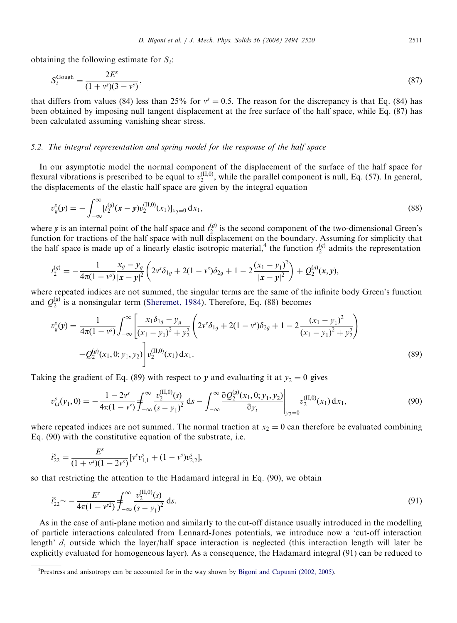obtaining the following estimate for  $S_t$ :

$$
S_t^{\text{Gough}} = \frac{2E^s}{(1 + v^s)(3 - v^s)},\tag{87}
$$

that differs from values (84) less than 25% for  $v^s = 0.5$ . The reason for the discrepancy is that Eq. (84) has been obtained by imposing null tangent displacement at the free surface of the half space, while Eq. (87) has been calculated assuming vanishing shear stress.

## 5.2. The integral representation and spring model for the response of the half space

In our asymptotic model the normal component of the displacement of the surface of the half space for flexural vibrations is prescribed to be equal to  $v_2^{\text{(II,0)}}$ , while the parallel component is null, Eq. (57). In general, the displacements of the elastic half space are given by the integral equation

$$
v_g^s(\mathbf{y}) = -\int_{-\infty}^{\infty} [t_2^{(g)}(\mathbf{x} - \mathbf{y}) v_2^{(\text{II},0)}(x_1)]_{x_2=0} \, \mathrm{d}x_1,\tag{88}
$$

where y is an internal point of the half space and  $t_2^{(g)}$  is the second component of the two-dimensional Green's function for tractions of the half space with null displacement on the boundary. Assuming for simplicity that the half space is made up of a linearly elastic isotropic material,<sup>4</sup> the function  $t_2^{(g)}$  admits the representation

$$
t_2^{(g)} = -\frac{1}{4\pi(1 - v^s)} \frac{x_g - y_g}{|\mathbf{x} - \mathbf{y}|^2} \left( 2v^s \delta_{1g} + 2(1 - v^s) \delta_{2g} + 1 - 2\frac{(x_1 - y_1)^2}{|\mathbf{x} - \mathbf{y}|^2} \right) + Q_2^{(g)}(\mathbf{x}, \mathbf{y}),
$$

where repeated indices are not summed, the singular terms are the same of the infinite body Green's function and  $Q_2^{(g)}$  is a nonsingular term [\(Sheremet, 1984\)](#page-26-0). Therefore, Eq. (88) becomes

$$
v_g^s(\mathbf{y}) = \frac{1}{4\pi(1 - \mathbf{v}^s)} \int_{-\infty}^{\infty} \left[ \frac{x_1 \delta_{1g} - y_g}{(x_1 - y_1)^2 + y_2^2} \left( 2\mathbf{v}^s \delta_{1g} + 2(1 - \mathbf{v}^s) \delta_{2g} + 1 - 2 \frac{(x_1 - y_1)^2}{(x_1 - y_1)^2 + y_2^2} \right) - Q_2^{(g)}(x_1, 0; y_1, y_2) \right] v_2^{(II, 0)}(x_1) dx_1.
$$
\n(89)

Taking the gradient of Eq. (89) with respect to y and evaluating it at  $y_2 = 0$  gives

$$
v_{i,i}^s(y_1,0) = -\frac{1-2v^s}{4\pi(1-v^s)} \int_{-\infty}^{\infty} \frac{v_2^{(\text{II},0)}(s)}{(s-y_1)^2} \, \mathrm{d}s - \int_{-\infty}^{\infty} \frac{\partial Q_2^{(g)}(x_1,0;y_1,y_2)}{\partial y_i} \bigg|_{y_2=0} v_2^{(\text{II},0)}(x_1) \, \mathrm{d}x_1,\tag{90}
$$

where repeated indices are not summed. The normal traction at  $x_2 = 0$  can therefore be evaluated combining Eq. (90) with the constitutive equation of the substrate, i.e.

$$
\dot{t}_{22}^s = \frac{E^s}{(1 + v^s)(1 - 2v^s)} [v^s v_{1,1}^s + (1 - v^s) v_{2,2}^s],
$$

so that restricting the attention to the Hadamard integral in Eq. (90), we obtain

$$
\dot{t}_{22}^s \sim -\frac{E^s}{4\pi(1 - v^{s2})} \oint_{-\infty}^{\infty} \frac{v_2^{(II,0)}(s)}{(s - y_1)^2} ds.
$$
\n(91)

As in the case of anti-plane motion and similarly to the cut-off distance usually introduced in the modelling of particle interactions calculated from Lennard-Jones potentials, we introduce now a 'cut-off interaction length' d, outside which the layer/half space interaction is neglected (this interaction length will later be explicitly evaluated for homogeneous layer). As a consequence, the Hadamard integral (91) can be reduced to

<sup>&</sup>lt;sup>4</sup>Prestress and anisotropy can be accounted for in the way shown by [Bigoni and Capuani \(2002, 2005\).](#page-25-0)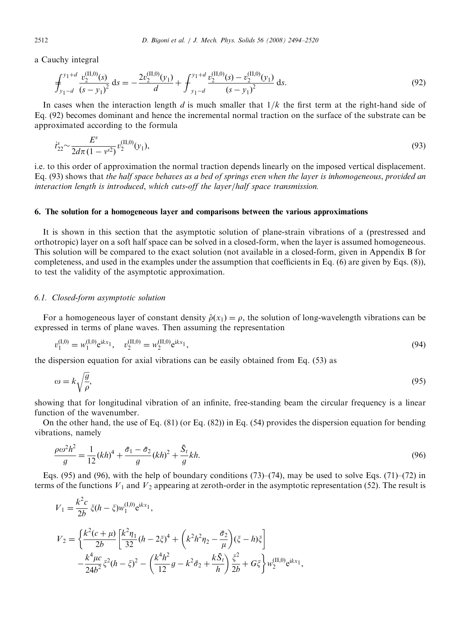a Cauchy integral

$$
\oint_{y_1-d}^{y_1+d} \frac{v_2^{(\text{II},0)}(s)}{(s-y_1)^2} \,\mathrm{d}s = -\frac{2v_2^{(\text{II},0)}(y_1)}{d} + \int_{y_1-d}^{y_1+d} \frac{v_2^{(\text{II},0)}(s) - v_2^{(\text{II},0)}(y_1)}{(s-y_1)^2} \,\mathrm{d}s. \tag{92}
$$

In cases when the interaction length d is much smaller that  $1/k$  the first term at the right-hand side of Eq. (92) becomes dominant and hence the incremental normal traction on the surface of the substrate can be approximated according to the formula

$$
\dot{t}_{22}^s \sim \frac{E^s}{2d\pi (1 - v^{s2})} v_2^{(\text{II},0)}(y_1),\tag{93}
$$

i.e. to this order of approximation the normal traction depends linearly on the imposed vertical displacement. Eq. (93) shows that the half space behaves as a bed of springs even when the layer is inhomogeneous, provided an interaction length is introduced, which cuts-off the layer/half space transmission.

## 6. The solution for a homogeneous layer and comparisons between the various approximations

It is shown in this section that the asymptotic solution of plane-strain vibrations of a (prestressed and orthotropic) layer on a soft half space can be solved in a closed-form, when the layer is assumed homogeneous. This solution will be compared to the exact solution (not available in a closed-form, given in Appendix B for completeness, and used in the examples under the assumption that coefficients in Eq. (6) are given by Eqs. (8)), to test the validity of the asymptotic approximation.

## 6.1. Closed-form asymptotic solution

For a homogeneous layer of constant density  $\hat{\rho}(x_1) = \rho$ , the solution of long-wavelength vibrations can be expressed in terms of plane waves. Then assuming the representation

$$
v_1^{(I,0)} = w_1^{(I,0)} e^{ikx_1}, \quad v_2^{(II,0)} = w_2^{(II,0)} e^{ikx_1}, \tag{94}
$$

the dispersion equation for axial vibrations can be easily obtained from Eq. (53) as

$$
\omega = k \sqrt{\frac{g}{\rho}},\tag{95}
$$

showing that for longitudinal vibration of an infinite, free-standing beam the circular frequency is a linear function of the wavenumber.

On the other hand, the use of Eq. (81) (or Eq. (82)) in Eq. (54) provides the dispersion equation for bending vibrations, namely

$$
\frac{\rho \omega^2 h^2}{g} = \frac{1}{12} (kh)^4 + \frac{\bar{\sigma}_1 - \bar{\sigma}_2}{g} (kh)^2 + \frac{\bar{S}_t}{g} kh.
$$
\n(96)

Eqs. (95) and (96), with the help of boundary conditions (73)–(74), may be used to solve Eqs. (71)–(72) in terms of the functions  $V_1$  and  $V_2$  appearing at zeroth-order in the asymptotic representation (52). The result is

$$
V_1 = \frac{k^2 c}{2b} \xi (h - \xi) w_1^{(I,0)} e^{ikx_1},
$$
  
\n
$$
V_2 = \left\{ \frac{k^2 (c + \mu)}{2b} \left[ \frac{k^2 \eta_1}{32} (h - 2\xi)^4 + \left( k^2 h^2 \eta_2 - \frac{\bar{\sigma}_2}{\mu} \right) (\xi - h) \xi \right] - \frac{k^4 \mu c}{24b^2} \xi^2 (h - \xi)^2 - \left( \frac{k^4 h^2}{12} g - k^2 \bar{\sigma}_2 + \frac{k \bar{S}_t}{h} \right) \frac{\xi^2}{2b} + G \xi \right\} w_2^{(II,0)} e^{ikx_1},
$$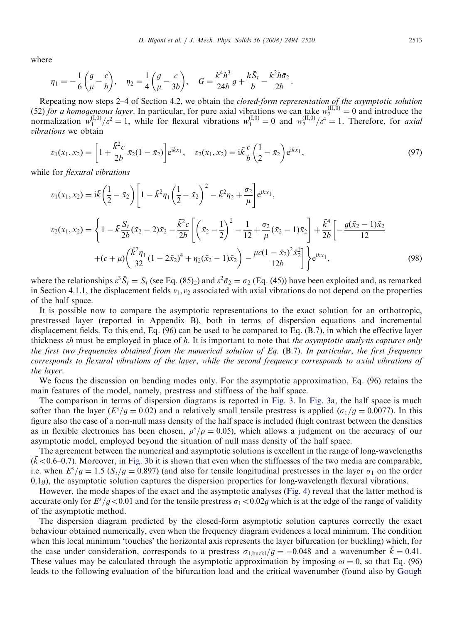where

$$
\eta_1 = -\frac{1}{6} \left( \frac{g}{\mu} - \frac{c}{b} \right), \quad \eta_2 = \frac{1}{4} \left( \frac{g}{\mu} - \frac{c}{3b} \right), \quad G = \frac{k^4 h^3}{24b} g + \frac{k \bar{S}_t}{b} - \frac{k^2 h \bar{\sigma}_2}{2b}.
$$

Repeating now steps 2–4 of Section 4.2, we obtain the closed-form representation of the asymptotic solution (52) for a homogeneous layer. In particular, for pure axial vibrations we can take  $w_2^{(II,0)} = 0$  and introduce the normalization  $w_1^{(I,0)}/\varepsilon^2 = 1$ , while for flexural vibrations  $w_1^{(I,0)} = 0$  and  $w_2^{(II,0)}/\varepsilon^4 = 1$ . Therefore, for *axial* vibrations we obtain

$$
v_1(x_1, x_2) = \left[1 + \frac{\bar{k}^2 c}{2b} \,\bar{x}_2 (1 - \bar{x}_2)\right] e^{ikx_1}, \quad v_2(x_1, x_2) = i\bar{k} \frac{c}{b} \left(\frac{1}{2} - \bar{x}_2\right) e^{ikx_1},\tag{97}
$$

while for *flexural vibrations* 

$$
v_1(x_1, x_2) = i\bar{k} \left(\frac{1}{2} - \bar{x}_2\right) \left[1 - \bar{k}^2 \eta_1 \left(\frac{1}{2} - \bar{x}_2\right)^2 - \bar{k}^2 \eta_2 + \frac{\sigma_2}{\mu}\right] e^{ikx_1},
$$
  
\n
$$
v_2(x_1, x_2) = \left\{1 - \bar{k} \frac{S_t}{2b} (\bar{x}_2 - 2) \bar{x}_2 - \frac{\bar{k}^2 c}{2b} \left[\left(\bar{x}_2 - \frac{1}{2}\right)^2 - \frac{1}{12} + \frac{\sigma_2}{\mu} (\bar{x}_2 - 1) \bar{x}_2\right] + \frac{\bar{k}^4}{2b} \left[-\frac{g(\bar{x}_2 - 1)\bar{x}_2}{12} + (c + \mu) \left(\frac{\bar{k}^2 \eta_1}{32} (1 - 2\bar{x}_2)^4 + \eta_2 (\bar{x}_2 - 1) \bar{x}_2\right) - \frac{\mu c (1 - \bar{x}_2)^2 \bar{x}_2^2}{12b}\right] e^{ikx_1},
$$
\n(98)

where the relationships  $\varepsilon^3 \bar{S}_t = S_t$  (see Eq. (85)<sub>2</sub>) and  $\varepsilon^2 \bar{\sigma}_2 = \sigma_2$  (Eq. (45)) have been exploited and, as remarked in Section 4.1.1, the displacement fields  $v_1, v_2$  associated with axial vibrations do not depend on the properties of the half space.

It is possible now to compare the asymptotic representations to the exact solution for an orthotropic, prestressed layer (reported in Appendix B), both in terms of dispersion equations and incremental displacement fields. To this end, Eq. (96) can be used to be compared to Eq. (B.7), in which the effective layer thickness *ch* must be employed in place of *h*. It is important to note that *the asymptotic analysis captures only* the first two frequencies obtained from the numerical solution of Eq. (B.7). In particular, the first frequency corresponds to flexural vibrations of the layer, while the second frequency corresponds to axial vibrations of the layer.

We focus the discussion on bending modes only. For the asymptotic approximation, Eq. (96) retains the main features of the model, namely, prestress and stiffness of the half space.

The comparison in terms of dispersion diagrams is reported in [Fig. 3](#page-20-0). In [Fig. 3](#page-20-0)a, the half space is much softer than the layer ( $E^s/g = 0.02$ ) and a relatively small tensile prestress is applied ( $\sigma_1/g = 0.0077$ ). In this figure also the case of a non-null mass density of the half space is included (high contrast between the densities as in flexible electronics has been chosen,  $\rho^{s}/\rho = 0.05$ ), which allows a judgment on the accuracy of our asymptotic model, employed beyond the situation of null mass density of the half space.

The agreement between the numerical and asymptotic solutions is excellent in the range of long-wavelengths  $(k<0.6-0.7)$ . Moreover, in [Fig. 3](#page-20-0)b it is shown that even when the stiffnesses of the two media are comparable, i.e. when  $E^s/g = 1.5$  ( $S_t/g = 0.897$ ) (and also for tensile longitudinal prestresses in the layer  $\sigma_1$  on the order  $0.1g$ ), the asymptotic solution captures the dispersion properties for long-wavelength flexural vibrations.

However, the mode shapes of the exact and the asymptotic analyses ([Fig. 4](#page-21-0)) reveal that the latter method is accurate only for  $E^s/g < 0.01$  and for the tensile prestress  $\sigma_1 < 0.02g$  which is at the edge of the range of validity of the asymptotic method.

The dispersion diagram predicted by the closed-form asymptotic solution captures correctly the exact behaviour obtained numerically, even when the frequency diagram evidences a local minimum. The condition when this local minimum 'touches' the horizontal axis represents the layer bifurcation (or buckling) which, for the case under consideration, corresponds to a prestress  $\sigma_{\text{1,buck}}/g = -0.048$  and a wavenumber  $k = 0.41$ . These values may be calculated through the asymptotic approximation by imposing  $\omega = 0$ , so that Eq. (96) leads to the following evaluation of the bifurcation load and the critical wavenumber (found also by [Gough](#page-26-0)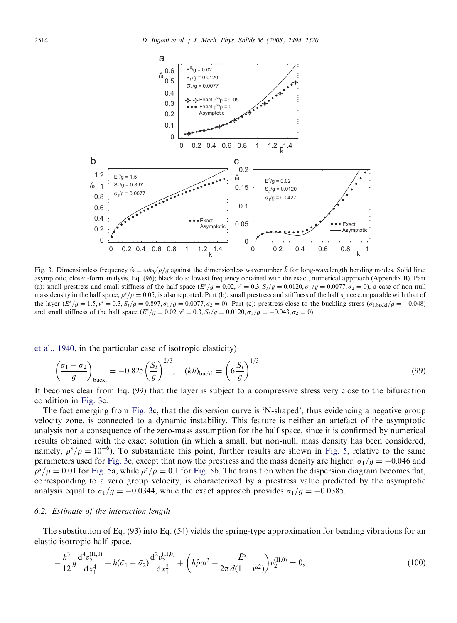<span id="page-20-0"></span>

Fig. 3. Dimensionless frequency  $\hat{\omega} = \omega h \sqrt{\rho/g}$  against the dimensionless wavenumber  $\bar{k}$  for long-wavelength bending modes. Solid line: asymptotic, closed-form analysis, Eq. (96); black dots: lowest frequency obtained with the exact, numerical approach (Appendix B). Part (a): small prestress and small stiffness of the half space  $(E^s/g = 0.02, v^s = 0.3, S_t/g = 0.0120, \sigma_1/g = 0.0077, \sigma_2 = 0)$ , a case of non-null mass density in the half space,  $\rho^s/\rho = 0.05$ , is also reported. Part (b): small prestress and stiffness of the half space comparable with that of the layer  $(E^s/g = 1.5, v^s = 0.3, S_t/g = 0.897, \sigma_1/g = 0.0077, \sigma_2 = 0)$ . Part (c): prestress close to the buckling stress  $(\sigma_{1,\text{buck}}/g = -0.048)$ and small stiffness of the half space  $(E^s/g = 0.02, v^s = 0.3, S_t/g = 0.0120, \sigma_1/g = -0.043, \sigma_2 = 0)$ .

[et al., 1940,](#page-26-0) in the particular case of isotropic elasticity)

$$
\left(\frac{\bar{\sigma}_1 - \bar{\sigma}_2}{g}\right)_{\text{buckl}} = -0.825 \left(\frac{\bar{S}_t}{g}\right)^{2/3}, \quad (kh)_{\text{buckl}} = \left(6\frac{\bar{S}_t}{g}\right)^{1/3}.
$$
\n(99)

It becomes clear from Eq. (99) that the layer is subject to a compressive stress very close to the bifurcation condition in Fig. 3c.

The fact emerging from Fig. 3c, that the dispersion curve is 'N-shaped', thus evidencing a negative group velocity zone, is connected to a dynamic instability. This feature is neither an artefact of the asymptotic analysis nor a consequence of the zero-mass assumption for the half space, since it is confirmed by numerical results obtained with the exact solution (in which a small, but non-null, mass density has been considered, namely,  $\rho^{s}/\rho = 10^{-6}$ ). To substantiate this point, further results are shown in [Fig. 5,](#page-22-0) relative to the same parameters used for Fig. 3c, except that now the prestress and the mass density are higher:  $\sigma_1/g = -0.046$  and  $\rho^{s}/\rho = 0.01$  for [Fig. 5](#page-22-0)a, while  $\rho^{s}/\rho = 0.1$  for Fig. 5b. The transition when the dispersion diagram becomes flat, corresponding to a zero group velocity, is characterized by a prestress value predicted by the asymptotic analysis equal to  $\sigma_1/g = -0.0344$ , while the exact approach provides  $\sigma_1/g = -0.0385$ .

## 6.2. Estimate of the interaction length

The substitution of Eq. (93) into Eq. (54) yields the spring-type approximation for bending vibrations for an elastic isotropic half space,

$$
-\frac{h^3}{12}g\frac{d^4v_2^{(\text{II},0)}}{dx_1^4} + h(\bar{\sigma}_1 - \bar{\sigma}_2)\frac{d^2v_2^{(\text{II},0)}}{dx_1^2} + \left(h\hat{\rho}\omega^2 - \frac{\bar{E}^s}{2\pi d(1 - v^{s2})}\right)v_2^{(\text{II},0)} = 0,\tag{100}
$$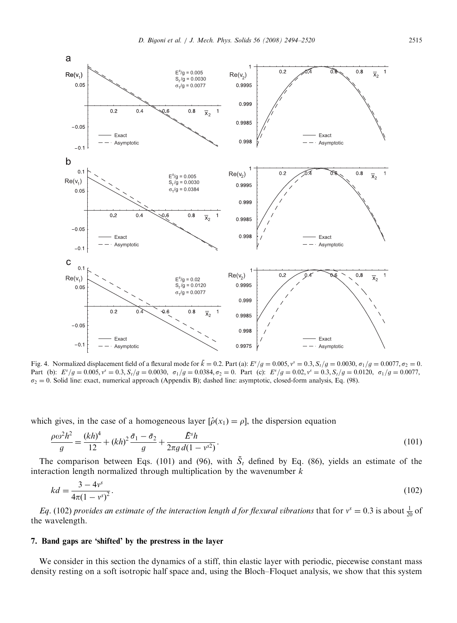

<span id="page-21-0"></span>

Fig. 4. Normalized displacement field of a flexural mode for  $\bar{k} = 0.2$ . Part (a):  $E^s/g = 0.005$ ,  $v^s = 0.3$ ,  $S_t/g = 0.0030$ ,  $\sigma_1/g = 0.0077$ ,  $\sigma_2 = 0$ . Part (b):  $E^s/g = 0.005$ ,  $v^s = 0.3$ ,  $S_t/g = 0.0030$ ,  $\sigma_1/g = 0.0384$ ,  $\sigma_2 = 0$ . Part (c):  $E^s/g = 0.02$ ,  $v^s = 0.3$ ,  $S_t/g = 0.0120$ ,  $\sigma_1/g = 0.0077$ ,  $\sigma_2 = 0$ . Solid line: exact, numerical approach (Appendix B); dashed line: asymptotic, closed-form analysis, Eq. (98).

which gives, in the case of a homogeneous layer  $[\hat{\rho}(x_1) = \rho]$ , the dispersion equation

$$
\frac{\rho \omega^2 h^2}{g} = \frac{(kh)^4}{12} + (kh)^2 \frac{\bar{\sigma}_1 - \bar{\sigma}_2}{g} + \frac{\bar{E}^s h}{2\pi g \, d(1 - v^{s2})}.
$$
\n(101)

The comparison between Eqs. (101) and (96), with  $\bar{S}_t$  defined by Eq. (86), yields an estimate of the interaction length normalized through multiplication by the wavenumber  $k$ 

$$
kd = \frac{3 - 4v^s}{4\pi(1 - v^s)^2}.
$$
\n(102)

Eq. (102) provides an estimate of the interaction length d for flexural vibrations that for  $v^s = 0.3$  is about  $\frac{1}{20}$  of the wavelength.

## 7. Band gaps are 'shifted' by the prestress in the layer

We consider in this section the dynamics of a stiff, thin elastic layer with periodic, piecewise constant mass density resting on a soft isotropic half space and, using the Bloch–Floquet analysis, we show that this system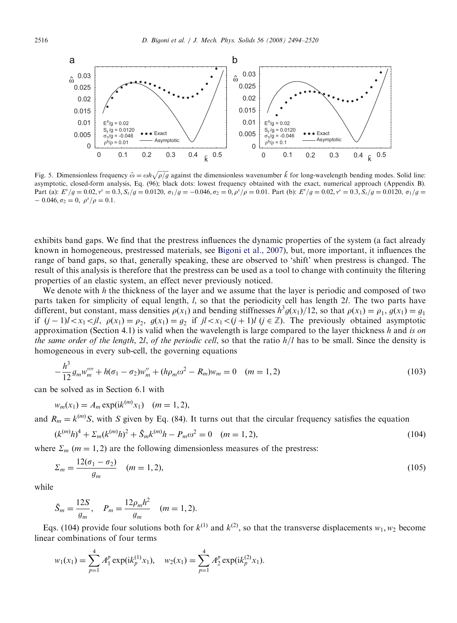<span id="page-22-0"></span>

Fig. 5. Dimensionless frequency  $\hat{\omega} = \omega h \sqrt{\rho/g}$  against the dimensionless wavenumber  $\vec{k}$  for long-wavelength bending modes. Solid line: asymptotic, closed-form analysis, Eq. (96); black dots: lowest frequency obtained with the exact, numerical approach (Appendix B). Part (a):  $E^s/g = 0.02$ ,  $v^s = 0.3$ ,  $S_t/g = 0.0120$ ,  $\sigma_1/g = -0.046$ ,  $\sigma_2 = 0$ ,  $\rho^s/\rho = 0.01$ . Part (b):  $E^s/g = 0.02$ ,  $v^s = 0.3$ ,  $S_t/g = 0.0120$ ,  $\sigma_1/g = 0.0120$ ,  $\sigma_2 = 0.0120$ ,  $\sigma_1/g = 0.0120$ ,  $\sigma_2 = 0.0120$ ,  $\sigma_2 = 0.0$  $-0.046, \sigma_2 = 0, \ \rho^s/\rho = 0.1.$ 

exhibits band gaps. We find that the prestress influences the dynamic properties of the system (a fact already known in homogeneous, prestressed materials, see [Bigoni et al., 2007](#page-26-0)), but, more important, it influences the range of band gaps, so that, generally speaking, these are observed to 'shift' when prestress is changed. The result of this analysis is therefore that the prestress can be used as a tool to change with continuity the filtering properties of an elastic system, an effect never previously noticed.

We denote with  $h$  the thickness of the layer and we assume that the layer is periodic and composed of two parts taken for simplicity of equal length, l, so that the periodicity cell has length 2l. The two parts have different, but constant, mass densities  $\rho(x_1)$  and bending stiffnesses  $h^3 g(x_1)/12$ , so that  $\rho(x_1) = \rho_1$ ,  $g(x_1) = g_1$ if  $(j-1)$ *l*  $\lt x_1 \lt j$ *l*,  $\rho(x_1) = \rho_2$ ,  $g(x_1) = g_2$  if  $j$ *l*  $\lt x_1 \lt (j+1)$ *l*  $(j \in \mathbb{Z})$ . The previously obtained asymptotic approximation (Section 4.1) is valid when the wavelength is large compared to the layer thickness  $h$  and is on the same order of the length, 2l, of the periodic cell, so that the ratio  $h/l$  has to be small. Since the density is homogeneous in every sub-cell, the governing equations

$$
-\frac{h^3}{12}g_m w_m^{\prime\prime\prime\prime} + h(\sigma_1 - \sigma_2)w_m^{\prime\prime} + (h\rho_m\omega^2 - R_m)w_m = 0 \quad (m = 1, 2)
$$
\n(103)

can be solved as in Section 6.1 with

$$
w_m(x_1) = A_m \exp(\mathrm{i}k^{(m)}x_1) \quad (m = 1, 2),
$$

and  $R_m = k^{(m)}S$ , with S given by Eq. (84). It turns out that the circular frequency satisfies the equation

$$
(k^{(m)}h)^4 + \Sigma_m(k^{(m)}h)^2 + \bar{S}_mk^{(m)}h - P_m\omega^2 = 0 \quad (m = 1, 2),
$$
\n(104)

where  $\Sigma_m$  ( $m = 1, 2$ ) are the following dimensionless measures of the prestress:

$$
\Sigma_m = \frac{12(\sigma_1 - \sigma_2)}{g_m} \quad (m = 1, 2), \tag{105}
$$

while

$$
\bar{S}_m = \frac{12S}{g_m}, \quad P_m = \frac{12\rho_m h^2}{g_m} \quad (m = 1, 2).
$$

Eqs. (104) provide four solutions both for  $k^{(1)}$  and  $k^{(2)}$ , so that the transverse displacements  $w_1, w_2$  become linear combinations of four terms

$$
w_1(x_1) = \sum_{p=1}^4 A_1^p \exp(ik_p^{(1)} x_1), \quad w_2(x_1) = \sum_{p=1}^4 A_2^p \exp(ik_p^{(2)} x_1).
$$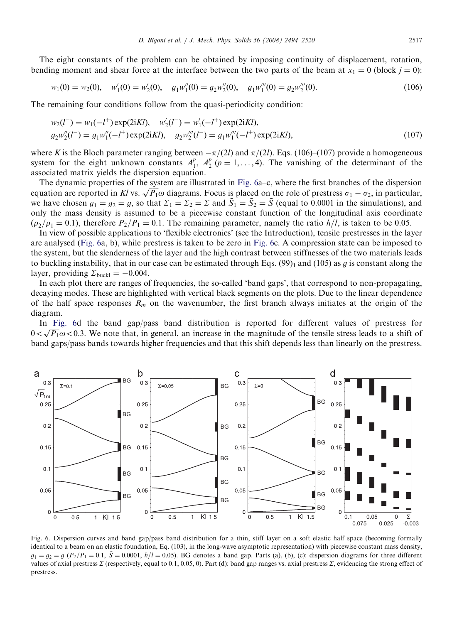The eight constants of the problem can be obtained by imposing continuity of displacement, rotation, bending moment and shear force at the interface between the two parts of the beam at  $x_1 = 0$  (block  $j = 0$ ):

$$
w_1(0) = w_2(0), \quad w'_1(0) = w'_2(0), \quad g_1 w''_1(0) = g_2 w''_2(0), \quad g_1 w''_1(0) = g_2 w''_2(0).
$$
\n
$$
(106)
$$

The remaining four conditions follow from the quasi-periodicity condition:

$$
w_2(l^-) = w_1(-l^+) \exp(2iKl), \quad w_2'(l^-) = w_1'(-l^+) \exp(2iKl), g_2 w_2''(l^-) = g_1 w_1''(-l^+) \exp(2iKl), \quad g_2 w_2''(l^-) = g_1 w_1'''(-l^+) \exp(2iKl),
$$
 (107)

where K is the Bloch parameter ranging between  $-\pi/(2l)$  and  $\pi/(2l)$ . Eqs. (106)–(107) provide a homogeneous system for the eight unknown constants  $A_1^p$ ,  $A_2^p$  ( $p = 1, ..., 4$ ). The vanishing of the determinant of the associated matrix yields the dispersion equation.

The dynamic properties of the system are illustrated in Fig. 6a–c, where the first branches of the dispersion The dynamic properties of the system are mustated in Fig. 6a–c, where the first branches of the dispersion equation are reported in Kl vs.  $\sqrt{P_1}\omega$  diagrams. Focus is placed on the role of prestress  $\sigma_1 - \sigma_2$ , in part we have chosen  $g_1 = g_2 = g$ , so that  $\Sigma_1 = \Sigma_2 = \Sigma$  and  $\overline{S}_1 = \overline{S}_2 = \overline{S}$  (equal to 0.0001 in the simulations), and only the mass density is assumed to be a piecewise constant function of the longitudinal axis coordinate  $(\rho_2/\rho_1 = 0.1)$ , therefore  $P_2/P_1 = 0.1$ . The remaining parameter, namely the ratio  $h/l$ , is taken to be 0.05.

In view of possible applications to 'flexible electronics' (see the Introduction), tensile prestresses in the layer are analysed (Fig. 6a, b), while prestress is taken to be zero in Fig. 6c. A compression state can be imposed to the system, but the slenderness of the layer and the high contrast between stiffnesses of the two materials leads to buckling instability, that in our case can be estimated through Eqs. (99)<sub>1</sub> and (105) as g is constant along the layer, providing  $\Sigma_{\text{buckl}} = -0.004$ .

In each plot there are ranges of frequencies, the so-called 'band gaps', that correspond to non-propagating, decaying modes. These are highlighted with vertical black segments on the plots. Due to the linear dependence of the half space responses  $R_m$  on the wavenumber, the first branch always initiates at the origin of the diagram.

In Fig. 6d the band gap/pass band distribution is reported for different values of prestress for In Fig. od the band gap/pass band distribution is reported for different values of prestress for  $0 < \sqrt{P_1} \omega < 0.3$ . We note that, in general, an increase in the magnitude of the tensile stress leads to a shift of band gaps/pass bands towards higher frequencies and that this shift depends less than linearly on the prestress.



Fig. 6. Dispersion curves and band gap/pass band distribution for a thin, stiff layer on a soft elastic half space (becoming formally identical to a beam on an elastic foundation, Eq. (103), in the long-wave asymptotic representation) with piecewise constant mass density,  $g_1 = g_2 = g (P_2/P_1 = 0.1, \bar{S} = 0.0001, h/l = 0.05)$ . BG denotes a band gap. Parts (a), (b), (c): dispersion diagrams for three different values of axial prestress  $\Sigma$  (respectively, equal to 0.1, 0.05, 0). Part (d): band gap ranges vs. axial prestress  $\Sigma$ , evidencing the strong effect of prestress.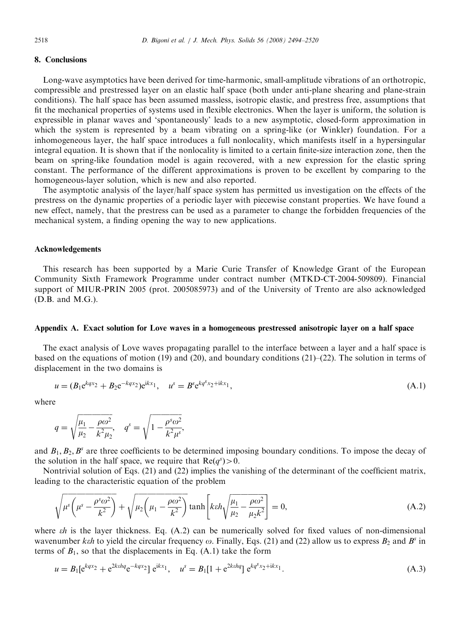# 8. Conclusions

Long-wave asymptotics have been derived for time-harmonic, small-amplitude vibrations of an orthotropic, compressible and prestressed layer on an elastic half space (both under anti-plane shearing and plane-strain conditions). The half space has been assumed massless, isotropic elastic, and prestress free, assumptions that fit the mechanical properties of systems used in flexible electronics. When the layer is uniform, the solution is expressible in planar waves and 'spontaneously' leads to a new asymptotic, closed-form approximation in which the system is represented by a beam vibrating on a spring-like (or Winkler) foundation. For a inhomogeneous layer, the half space introduces a full nonlocality, which manifests itself in a hypersingular integral equation. It is shown that if the nonlocality is limited to a certain finite-size interaction zone, then the beam on spring-like foundation model is again recovered, with a new expression for the elastic spring constant. The performance of the different approximations is proven to be excellent by comparing to the homogeneous-layer solution, which is new and also reported.

The asymptotic analysis of the layer/half space system has permitted us investigation on the effects of the prestress on the dynamic properties of a periodic layer with piecewise constant properties. We have found a new effect, namely, that the prestress can be used as a parameter to change the forbidden frequencies of the mechanical system, a finding opening the way to new applications.

## Acknowledgements

This research has been supported by a Marie Curie Transfer of Knowledge Grant of the European Community Sixth Framework Programme under contract number (MTKD-CT-2004-509809). Financial support of MIUR-PRIN 2005 (prot. 2005085973) and of the University of Trento are also acknowledged (D.B. and M.G.).

## Appendix A. Exact solution for Love waves in a homogeneous prestressed anisotropic layer on a half space

The exact analysis of Love waves propagating parallel to the interface between a layer and a half space is based on the equations of motion (19) and (20), and boundary conditions (21)–(22). The solution in terms of displacement in the two domains is

$$
u = (B_1 e^{kq x_2} + B_2 e^{-kq x_2}) e^{ikx_1}, \quad u^s = B^s e^{kq^s x_2 + ikx_1}, \tag{A.1}
$$

where

$$
q = \sqrt{\frac{\mu_1}{\mu_2} - \frac{\rho \omega^2}{k^2 \mu_2}}, \quad q^s = \sqrt{1 - \frac{\rho^s \omega^2}{k^2 \mu^s}},
$$

and  $B_1, B_2, B^s$  are three coefficients to be determined imposing boundary conditions. To impose the decay of the solution in the half space, we require that  $Re(q^s) > 0$ .

Nontrivial solution of Eqs. (21) and (22) implies the vanishing of the determinant of the coefficient matrix, leading to the characteristic equation of the problem

$$
\sqrt{\mu^s \left(\mu^s - \frac{\rho^s \omega^2}{k^2}\right)} + \sqrt{\mu_2 \left(\mu_1 - \frac{\rho \omega^2}{k^2}\right)} \tanh\left[k\epsilon h \sqrt{\frac{\mu_1}{\mu_2} - \frac{\rho \omega^2}{\mu_2 k^2}}\right] = 0,
$$
\n(A.2)

where  $\epsilon h$  is the layer thickness. Eq. (A.2) can be numerically solved for fixed values of non-dimensional wavenumber k $\epsilon h$  to yield the circular frequency  $\omega$ . Finally, Eqs. (21) and (22) allow us to express  $B_2$  and  $B^s$  in terms of  $B_1$ , so that the displacements in Eq. (A.1) take the form

$$
u = B_1[e^{kqx_2} + e^{2k\epsilon hq}e^{-kqx_2}]e^{ikx_1}, \quad u^s = B_1[1 + e^{2k\epsilon hq}]e^{kq^sx_2 + ikx_1}.
$$
 (A.3)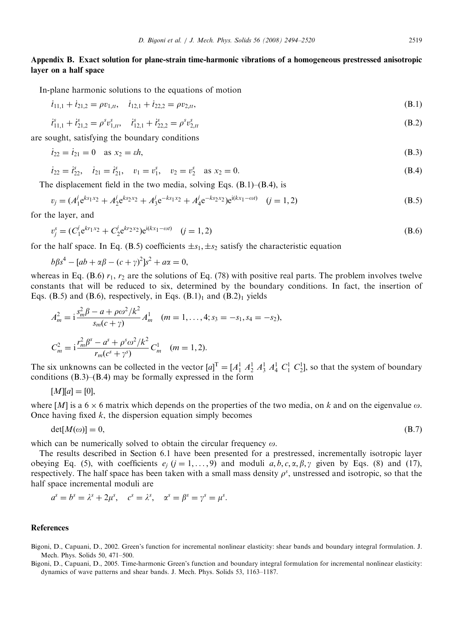# <span id="page-25-0"></span>Appendix B. Exact solution for plane-strain time-harmonic vibrations of a homogeneous prestressed anisotropic layer on a half space

In-plane harmonic solutions to the equations of motion

$$
\dot{t}_{11,1} + \dot{t}_{21,2} = \rho v_{1,tt}, \quad \dot{t}_{12,1} + \dot{t}_{22,2} = \rho v_{2,tt}, \tag{B.1}
$$

$$
\dot{t}_{11,1}^s + \dot{t}_{21,2}^s = \rho^s v_{1,t}^s, \quad \dot{t}_{12,1}^s + \dot{t}_{22,2}^s = \rho^s v_{2,t}^s
$$
\n(B.2)

are sought, satisfying the boundary conditions

$$
\dot{t}_{22} = \dot{t}_{21} = 0 \quad \text{as } x_2 = \varepsilon h,
$$
\n(B.3)

$$
\dot{t}_{22} = \dot{t}_{22}^s, \quad \dot{t}_{21} = \dot{t}_{21}^s, \quad v_1 = v_1^s, \quad v_2 = v_2^s \quad \text{as } x_2 = 0. \tag{B.4}
$$

The displacement field in the two media, solving Eqs.  $(B.1)$ – $(B.4)$ , is

$$
v_j = (A_1^j e^{ks_1 x_2} + A_2^j e^{ks_2 x_2} + A_3^j e^{-ks_1 x_2} + A_4^j e^{-ks_2 x_2}) e^{i(kx_1 - \omega t)} \quad (j = 1, 2)
$$
 (B.5)

for the layer, and

$$
v_j^s = (C_1^j e^{kr_1x_2} + C_2^j e^{kr_2x_2}) e^{i(kx_1 - \omega t)} \quad (j = 1, 2)
$$
\n(B.6)

for the half space. In Eq. (B.5) coefficients  $\pm s_1$ ,  $\pm s_2$  satisfy the characteristic equation

 $b\beta s^4 - [ab + \alpha\beta - (c + \gamma)^2]s^2 + a\alpha = 0,$ 

whereas in Eq. (B.6)  $r_1$ ,  $r_2$  are the solutions of Eq. (78) with positive real parts. The problem involves twelve constants that will be reduced to six, determined by the boundary conditions. In fact, the insertion of Eqs. (B.5) and (B.6), respectively, in Eqs.  $(B.1)_1$  and  $(B.2)_1$  yields

$$
A_m^2 = i \frac{s_m^2 \beta - a + \rho \omega^2 / k^2}{s_m (c + \gamma)} A_m^1 \quad (m = 1, ..., 4; s_3 = -s_1, s_4 = -s_2),
$$
  

$$
C_m^2 = i \frac{r_m^2 \beta^s - a^s + \rho^s \omega^2 / k^2}{r_m (c^s + \gamma^s)} C_m^1 \quad (m = 1, 2).
$$

The six unknowns can be collected in the vector  $[a]^T = [A_1^1 A_2^1 A_3^1 A_4^1 C_1^1 C_2^1]$ , so that the system of boundary conditions (B.3)–(B.4) may be formally expressed in the form

 $[M][a] = [0],$ 

where [M] is a 6  $\times$  6 matrix which depends on the properties of the two media, on k and on the eigenvalue  $\omega$ . Once having fixed  $k$ , the dispersion equation simply becomes

$$
\det[M(\omega)] = 0,\tag{B.7}
$$

which can be numerically solved to obtain the circular frequency  $\omega$ .

The results described in Section 6.1 have been presented for a prestressed, incrementally isotropic layer obeying Eq. (5), with coefficients  $e_i$   $(j = 1, ..., 9)$  and moduli  $a, b, c, \alpha, \beta, \gamma$  given by Eqs. (8) and (17), respectively. The half space has been taken with a small mass density  $\rho^s$ , unstressed and isotropic, so that the half space incremental moduli are

$$
a^s = b^s = \lambda^s + 2\mu^s, \quad c^s = \lambda^s, \quad \alpha^s = \beta^s = \gamma^s = \mu^s.
$$

## References

- Bigoni, D., Capuani, D., 2002. Green's function for incremental nonlinear elasticity: shear bands and boundary integral formulation. J. Mech. Phys. Solids 50, 471–500.
- Bigoni, D., Capuani, D., 2005. Time-harmonic Green's function and boundary integral formulation for incremental nonlinear elasticity: dynamics of wave patterns and shear bands. J. Mech. Phys. Solids 53, 1163–1187.